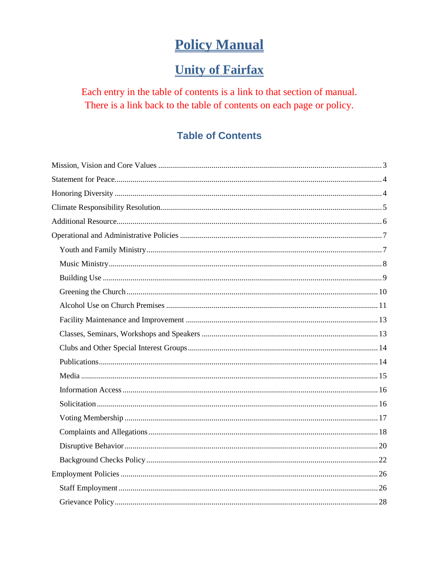# **Policy Manual**

# **Unity of Fairfax**

<span id="page-0-0"></span>Each entry in the table of contents is a link to that section of manual. There is a link back to the table of contents on each page or policy.

# **Table of Contents**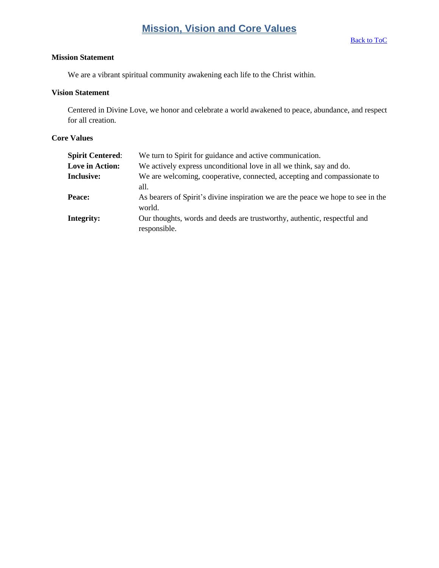# **Mission, Vision and Core Values**

### <span id="page-2-0"></span>**Mission Statement**

We are a vibrant spiritual community awakening each life to the Christ within.

### **Vision Statement**

Centered in Divine Love, we honor and celebrate a world awakened to peace, abundance, and respect for all creation.

### **Core Values**

| <b>Spirit Centered:</b> | We turn to Spirit for guidance and active communication.                                   |
|-------------------------|--------------------------------------------------------------------------------------------|
| Love in Action:         | We actively express unconditional love in all we think, say and do.                        |
| <b>Inclusive:</b>       | We are welcoming, cooperative, connected, accepting and compassionate to<br>all.           |
| Peace:                  | As bearers of Spirit's divine inspiration we are the peace we hope to see in the<br>world. |
| Integrity:              | Our thoughts, words and deeds are trustworthy, authentic, respectful and<br>responsible.   |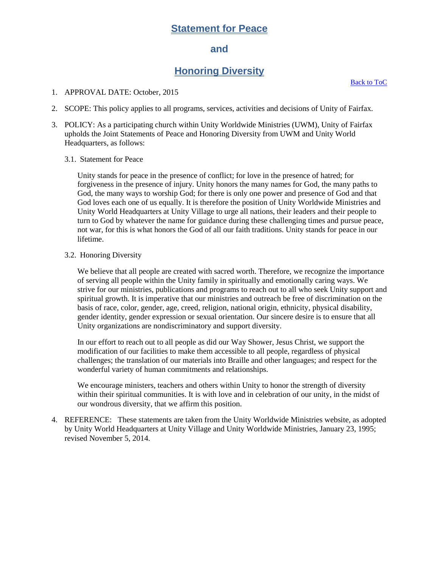# **Statement for Peace**

### **and**

# **Honoring Diversity**

[Back to ToC](#page-0-0)

- <span id="page-3-1"></span><span id="page-3-0"></span>1. APPROVAL DATE: October, 2015
- 2. SCOPE: This policy applies to all programs, services, activities and decisions of Unity of Fairfax.
- 3. POLICY: As a participating church within Unity Worldwide Ministries (UWM), Unity of Fairfax upholds the Joint Statements of Peace and Honoring Diversity from UWM and Unity World Headquarters, as follows:
	- 3.1. Statement for Peace

Unity stands for peace in the presence of conflict; for love in the presence of hatred; for forgiveness in the presence of injury. Unity honors the many names for God, the many paths to God, the many ways to worship God; for there is only one power and presence of God and that God loves each one of us equally. It is therefore the position of Unity Worldwide Ministries and Unity World Headquarters at Unity Village to urge all nations, their leaders and their people to turn to God by whatever the name for guidance during these challenging times and pursue peace, not war, for this is what honors the God of all our faith traditions. Unity stands for peace in our lifetime.

3.2. Honoring Diversity

We believe that all people are created with sacred worth. Therefore, we recognize the importance of serving all people within the Unity family in spiritually and emotionally caring ways. We strive for our ministries, publications and programs to reach out to all who seek Unity support and spiritual growth. It is imperative that our ministries and outreach be free of discrimination on the basis of race, color, gender, age, creed, religion, national origin, ethnicity, physical disability, gender identity, gender expression or sexual orientation. Our sincere desire is to ensure that all Unity organizations are nondiscriminatory and support diversity.

In our effort to reach out to all people as did our Way Shower, Jesus Christ, we support the modification of our facilities to make them accessible to all people, regardless of physical challenges; the translation of our materials into Braille and other languages; and respect for the wonderful variety of human commitments and relationships.

We encourage ministers, teachers and others within Unity to honor the strength of diversity within their spiritual communities. It is with love and in celebration of our unity, in the midst of our wondrous diversity, that we affirm this position.

4. REFERENCE: These statements are taken from the Unity Worldwide Ministries website, as adopted by Unity World Headquarters at Unity Village and Unity Worldwide Ministries, January 23, 1995; revised November 5, 2014.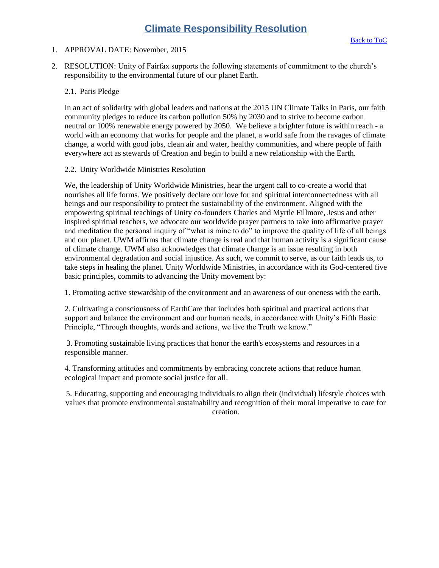### <span id="page-4-0"></span>1. APPROVAL DATE: November, 2015

2. RESOLUTION: Unity of Fairfax supports the following statements of commitment to the church's responsibility to the environmental future of our planet Earth.

### 2.1. Paris Pledge

In an act of solidarity with global leaders and nations at the 2015 UN Climate Talks in Paris, our faith community pledges to reduce its carbon pollution 50% by 2030 and to strive to become carbon neutral or 100% renewable energy powered by 2050. We believe a brighter future is within reach - a world with an economy that works for people and the planet, a world safe from the ravages of climate change, a world with good jobs, clean air and water, healthy communities, and where people of faith everywhere act as stewards of Creation and begin to build a new relationship with the Earth.

### 2.2. Unity Worldwide Ministries Resolution

We, the leadership of Unity Worldwide Ministries, hear the urgent call to co-create a world that nourishes all life forms. We positively declare our love for and spiritual interconnectedness with all beings and our responsibility to protect the sustainability of the environment. Aligned with the empowering spiritual teachings of Unity co-founders Charles and Myrtle Fillmore, Jesus and other inspired spiritual teachers, we advocate our worldwide prayer partners to take into affirmative prayer and meditation the personal inquiry of "what is mine to do" to improve the quality of life of all beings and our planet. UWM affirms that climate change is real and that human activity is a significant cause of climate change. UWM also acknowledges that climate change is an issue resulting in both environmental degradation and social injustice. As such, we commit to serve, as our faith leads us, to take steps in healing the planet. Unity Worldwide Ministries, in accordance with its God-centered five basic principles, commits to advancing the Unity movement by:

1. Promoting active stewardship of the environment and an awareness of our oneness with the earth.

2. Cultivating a consciousness of EarthCare that includes both spiritual and practical actions that support and balance the environment and our human needs, in accordance with Unity's Fifth Basic Principle, "Through thoughts, words and actions, we live the Truth we know."

3. Promoting sustainable living practices that honor the earth's ecosystems and resources in a responsible manner.

4. Transforming attitudes and commitments by embracing concrete actions that reduce human ecological impact and promote social justice for all.

5. Educating, supporting and encouraging individuals to align their (individual) lifestyle choices with values that promote environmental sustainability and recognition of their moral imperative to care for creation.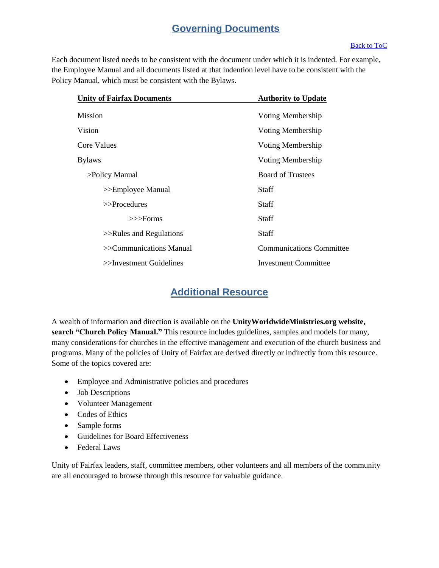# **Governing Documents**

### [Back to ToC](#page-0-0)

Each document listed needs to be consistent with the document under which it is indented. For example, the Employee Manual and all documents listed at that indention level have to be consistent with the Policy Manual, which must be consistent with the Bylaws.

| <b>Unity of Fairfax Documents</b> | <b>Authority to Update</b>      |
|-----------------------------------|---------------------------------|
| Mission                           | Voting Membership               |
| Vision                            | Voting Membership               |
| Core Values                       | Voting Membership               |
| <b>Bylaws</b>                     | Voting Membership               |
| >Policy Manual                    | <b>Board of Trustees</b>        |
| >>Employee Manual                 | <b>Staff</b>                    |
| $>>$ Procedures                   | <b>Staff</b>                    |
| $>>$ Forms                        | <b>Staff</b>                    |
| $>>$ Rules and Regulations        | <b>Staff</b>                    |
| >>Communications Manual           | <b>Communications Committee</b> |
| $\gg$ Investment Guidelines       | <b>Investment Committee</b>     |

# **Additional Resource**

<span id="page-5-0"></span>A wealth of information and direction is available on the **UnityWorldwideMinistries.org website, search "Church Policy Manual."** This resource includes guidelines, samples and models for many, many considerations for churches in the effective management and execution of the church business and programs. Many of the policies of Unity of Fairfax are derived directly or indirectly from this resource. Some of the topics covered are:

- Employee and Administrative policies and procedures
- Job Descriptions
- Volunteer Management
- Codes of Ethics
- Sample forms
- Guidelines for Board Effectiveness
- Federal Laws

Unity of Fairfax leaders, staff, committee members, other volunteers and all members of the community are all encouraged to browse through this resource for valuable guidance.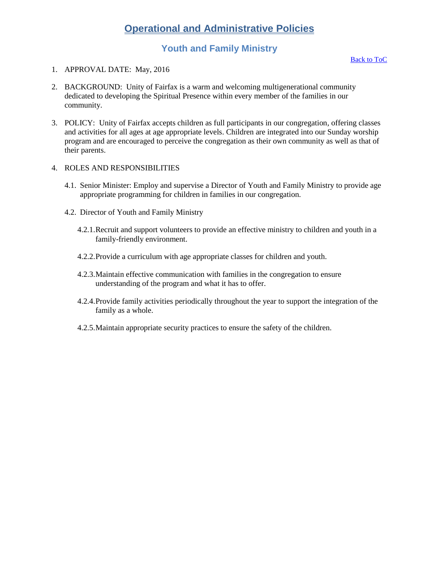# **Operational and Administrative Policies**

# **Youth and Family Ministry**

- <span id="page-6-1"></span><span id="page-6-0"></span>1. APPROVAL DATE: May, 2016
- 2. BACKGROUND: Unity of Fairfax is a warm and welcoming multigenerational community dedicated to developing the Spiritual Presence within every member of the families in our community.
- 3. POLICY: Unity of Fairfax accepts children as full participants in our congregation, offering classes and activities for all ages at age appropriate levels. Children are integrated into our Sunday worship program and are encouraged to perceive the congregation as their own community as well as that of their parents.
- 4. ROLES AND RESPONSIBILITIES
	- 4.1. Senior Minister: Employ and supervise a Director of Youth and Family Ministry to provide age appropriate programming for children in families in our congregation.
	- 4.2. Director of Youth and Family Ministry
		- 4.2.1.Recruit and support volunteers to provide an effective ministry to children and youth in a family-friendly environment.
		- 4.2.2.Provide a curriculum with age appropriate classes for children and youth.
		- 4.2.3.Maintain effective communication with families in the congregation to ensure understanding of the program and what it has to offer.
		- 4.2.4.Provide family activities periodically throughout the year to support the integration of the family as a whole.
		- 4.2.5.Maintain appropriate security practices to ensure the safety of the children.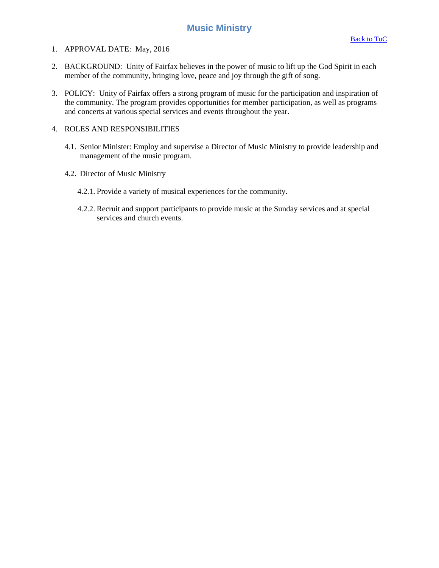### **Music Ministry**

- <span id="page-7-0"></span>1. APPROVAL DATE: May, 2016
- 2. BACKGROUND: Unity of Fairfax believes in the power of music to lift up the God Spirit in each member of the community, bringing love, peace and joy through the gift of song.
- 3. POLICY: Unity of Fairfax offers a strong program of music for the participation and inspiration of the community. The program provides opportunities for member participation, as well as programs and concerts at various special services and events throughout the year.

- 4.1. Senior Minister: Employ and supervise a Director of Music Ministry to provide leadership and management of the music program.
- 4.2. Director of Music Ministry
	- 4.2.1. Provide a variety of musical experiences for the community.
	- 4.2.2. Recruit and support participants to provide music at the Sunday services and at special services and church events.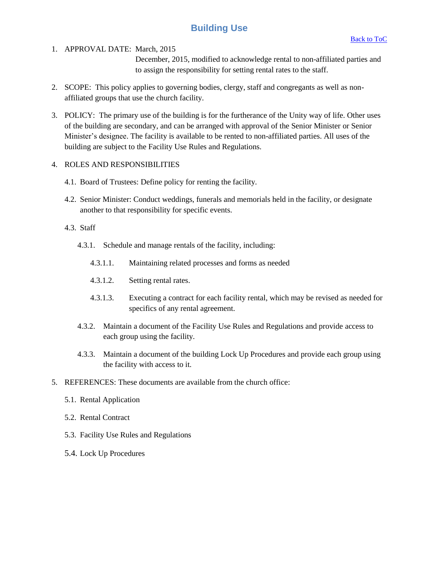# **Building Use**

<span id="page-8-0"></span>1. APPROVAL DATE: March, 2015

December, 2015, modified to acknowledge rental to non-affiliated parties and to assign the responsibility for setting rental rates to the staff.

- 2. SCOPE: This policy applies to governing bodies, clergy, staff and congregants as well as nonaffiliated groups that use the church facility.
- 3. POLICY: The primary use of the building is for the furtherance of the Unity way of life. Other uses of the building are secondary, and can be arranged with approval of the Senior Minister or Senior Minister's designee. The facility is available to be rented to non-affiliated parties. All uses of the building are subject to the Facility Use Rules and Regulations.

### 4. ROLES AND RESPONSIBILITIES

- 4.1. Board of Trustees: Define policy for renting the facility.
- 4.2. Senior Minister: Conduct weddings, funerals and memorials held in the facility, or designate another to that responsibility for specific events.

### 4.3. Staff

- 4.3.1. Schedule and manage rentals of the facility, including:
	- 4.3.1.1. Maintaining related processes and forms as needed
	- 4.3.1.2. Setting rental rates.
	- 4.3.1.3. Executing a contract for each facility rental, which may be revised as needed for specifics of any rental agreement.
- 4.3.2. Maintain a document of the Facility Use Rules and Regulations and provide access to each group using the facility.
- 4.3.3. Maintain a document of the building Lock Up Procedures and provide each group using the facility with access to it.
- 5. REFERENCES: These documents are available from the church office:
	- 5.1. Rental Application
	- 5.2. Rental Contract
	- 5.3. Facility Use Rules and Regulations
	- 5.4. Lock Up Procedures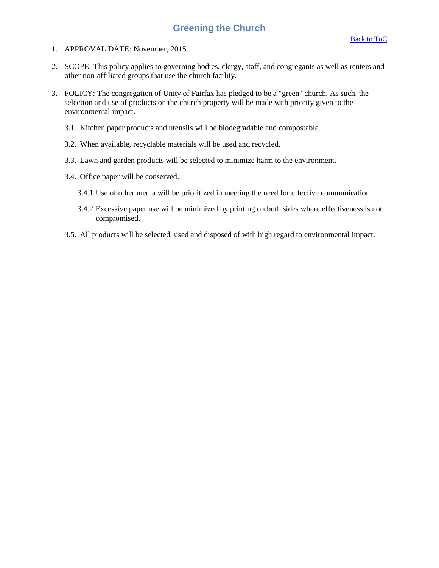### **Greening the Church**

- <span id="page-9-0"></span>1. APPROVAL DATE: November, 2015
- 2. SCOPE: This policy applies to governing bodies, clergy, staff, and congregants as well as renters and other non-affiliated groups that use the church facility.
- 3. POLICY: The congregation of Unity of Fairfax has pledged to be a "green" church. As such, the selection and use of products on the church property will be made with priority given to the environmental impact.
	- 3.1. Kitchen paper products and utensils will be biodegradable and compostable.
	- 3.2. When available, recyclable materials will be used and recycled.
	- 3.3. Lawn and garden products will be selected to minimize harm to the environment.
	- 3.4. Office paper will be conserved.
		- 3.4.1.Use of other media will be prioritized in meeting the need for effective communication.
		- 3.4.2.Excessive paper use will be minimized by printing on both sides where effectiveness is not compromised.
	- 3.5. All products will be selected, used and disposed of with high regard to environmental impact.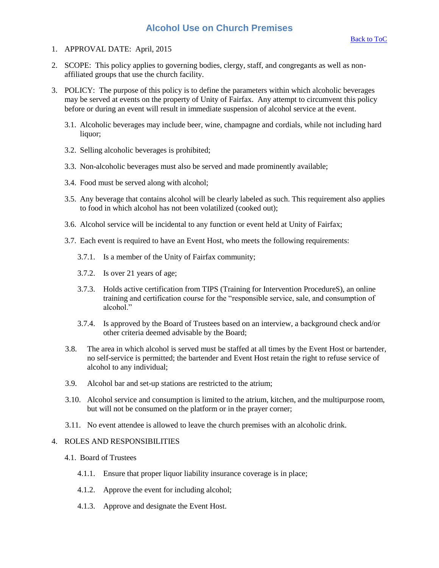### **Alcohol Use on Church Premises**

- <span id="page-10-0"></span>1. APPROVAL DATE: April, 2015
- 2. SCOPE: This policy applies to governing bodies, clergy, staff, and congregants as well as nonaffiliated groups that use the church facility.
- 3. POLICY: The purpose of this policy is to define the parameters within which alcoholic beverages may be served at events on the property of Unity of Fairfax. Any attempt to circumvent this policy before or during an event will result in immediate suspension of alcohol service at the event.
	- 3.1. Alcoholic beverages may include beer, wine, champagne and cordials, while not including hard liquor;
	- 3.2. Selling alcoholic beverages is prohibited;
	- 3.3. Non-alcoholic beverages must also be served and made prominently available;
	- 3.4. Food must be served along with alcohol;
	- 3.5. Any beverage that contains alcohol will be clearly labeled as such. This requirement also applies to food in which alcohol has not been volatilized (cooked out);
	- 3.6. Alcohol service will be incidental to any function or event held at Unity of Fairfax;
	- 3.7. Each event is required to have an Event Host, who meets the following requirements:
		- 3.7.1. Is a member of the Unity of Fairfax community;
		- 3.7.2. Is over 21 years of age;
		- 3.7.3. Holds active certification from TIPS (Training for Intervention ProcedureS), an online training and certification course for the "responsible service, sale, and consumption of alcohol."
		- 3.7.4. Is approved by the Board of Trustees based on an interview, a background check and/or other criteria deemed advisable by the Board;
	- 3.8. The area in which alcohol is served must be staffed at all times by the Event Host or bartender, no self-service is permitted; the bartender and Event Host retain the right to refuse service of alcohol to any individual;
	- 3.9. Alcohol bar and set-up stations are restricted to the atrium;
	- 3.10. Alcohol service and consumption is limited to the atrium, kitchen, and the multipurpose room, but will not be consumed on the platform or in the prayer corner;
	- 3.11. No event attendee is allowed to leave the church premises with an alcoholic drink.

- 4.1. Board of Trustees
	- 4.1.1. Ensure that proper liquor liability insurance coverage is in place;
	- 4.1.2. Approve the event for including alcohol;
	- 4.1.3. Approve and designate the Event Host.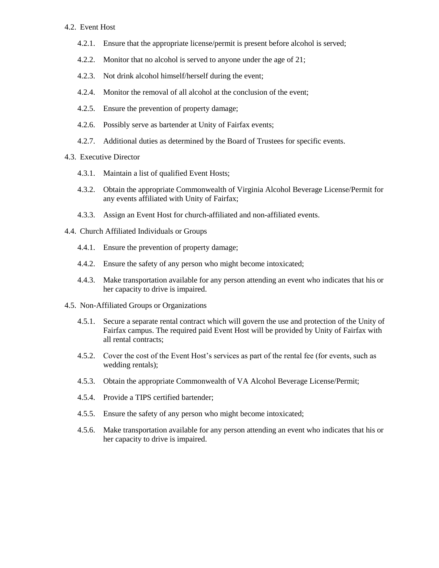#### 4.2. Event Host

- 4.2.1. Ensure that the appropriate license/permit is present before alcohol is served;
- 4.2.2. Monitor that no alcohol is served to anyone under the age of 21;
- 4.2.3. Not drink alcohol himself/herself during the event;
- 4.2.4. Monitor the removal of all alcohol at the conclusion of the event;
- 4.2.5. Ensure the prevention of property damage;
- 4.2.6. Possibly serve as bartender at Unity of Fairfax events;
- 4.2.7. Additional duties as determined by the Board of Trustees for specific events.
- 4.3. Executive Director
	- 4.3.1. Maintain a list of qualified Event Hosts;
	- 4.3.2. Obtain the appropriate Commonwealth of Virginia Alcohol Beverage License/Permit for any events affiliated with Unity of Fairfax;
	- 4.3.3. Assign an Event Host for church-affiliated and non-affiliated events.
- 4.4. Church Affiliated Individuals or Groups
	- 4.4.1. Ensure the prevention of property damage;
	- 4.4.2. Ensure the safety of any person who might become intoxicated;
	- 4.4.3. Make transportation available for any person attending an event who indicates that his or her capacity to drive is impaired.
- 4.5. Non-Affiliated Groups or Organizations
	- 4.5.1. Secure a separate rental contract which will govern the use and protection of the Unity of Fairfax campus. The required paid Event Host will be provided by Unity of Fairfax with all rental contracts;
	- 4.5.2. Cover the cost of the Event Host's services as part of the rental fee (for events, such as wedding rentals);
	- 4.5.3. Obtain the appropriate Commonwealth of VA Alcohol Beverage License/Permit;
	- 4.5.4. Provide a TIPS certified bartender;
	- 4.5.5. Ensure the safety of any person who might become intoxicated;
	- 4.5.6. Make transportation available for any person attending an event who indicates that his or her capacity to drive is impaired.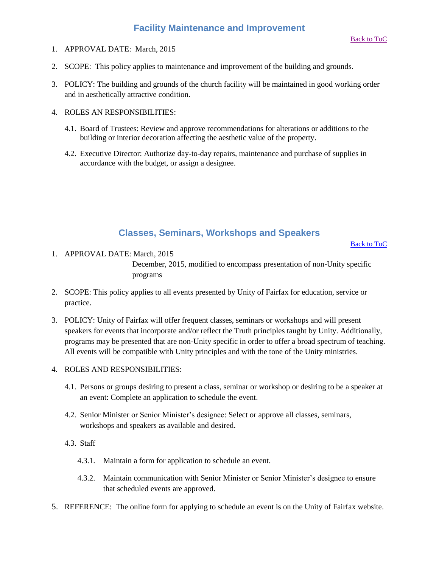- <span id="page-12-0"></span>1. APPROVAL DATE: March, 2015
- 2. SCOPE: This policy applies to maintenance and improvement of the building and grounds.
- 3. POLICY: The building and grounds of the church facility will be maintained in good working order and in aesthetically attractive condition.
- 4. ROLES AN RESPONSIBILITIES:
	- 4.1. Board of Trustees: Review and approve recommendations for alterations or additions to the building or interior decoration affecting the aesthetic value of the property.
	- 4.2. Executive Director: Authorize day-to-day repairs, maintenance and purchase of supplies in accordance with the budget, or assign a designee.

# **Classes, Seminars, Workshops and Speakers**

[Back to ToC](#page-0-0)

- <span id="page-12-1"></span>1. APPROVAL DATE: March, 2015 December, 2015, modified to encompass presentation of non-Unity specific programs
- 2. SCOPE: This policy applies to all events presented by Unity of Fairfax for education, service or practice.
- 3. POLICY: Unity of Fairfax will offer frequent classes, seminars or workshops and will present speakers for events that incorporate and/or reflect the Truth principles taught by Unity. Additionally, programs may be presented that are non-Unity specific in order to offer a broad spectrum of teaching. All events will be compatible with Unity principles and with the tone of the Unity ministries.
- 4. ROLES AND RESPONSIBILITIES:
	- 4.1. Persons or groups desiring to present a class, seminar or workshop or desiring to be a speaker at an event: Complete an application to schedule the event.
	- 4.2. Senior Minister or Senior Minister's designee: Select or approve all classes, seminars, workshops and speakers as available and desired.
	- 4.3. Staff
		- 4.3.1. Maintain a form for application to schedule an event.
		- 4.3.2. Maintain communication with Senior Minister or Senior Minister's designee to ensure that scheduled events are approved.
- 5. REFERENCE: The online form for applying to schedule an event is on the Unity of Fairfax website.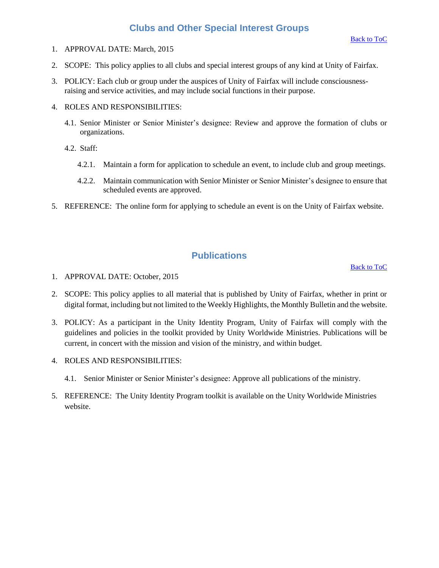### **Clubs and Other Special Interest Groups**

- <span id="page-13-0"></span>1. APPROVAL DATE: March, 2015
- 2. SCOPE: This policy applies to all clubs and special interest groups of any kind at Unity of Fairfax.
- 3. POLICY: Each club or group under the auspices of Unity of Fairfax will include consciousnessraising and service activities, and may include social functions in their purpose.
- 4. ROLES AND RESPONSIBILITIES:
	- 4.1. Senior Minister or Senior Minister's designee: Review and approve the formation of clubs or organizations.
	- 4.2. Staff:
		- 4.2.1. Maintain a form for application to schedule an event, to include club and group meetings.
		- 4.2.2. Maintain communication with Senior Minister or Senior Minister's designee to ensure that scheduled events are approved.
- 5. REFERENCE: The online form for applying to schedule an event is on the Unity of Fairfax website.

# **Publications**

[Back to ToC](#page-0-0)

- <span id="page-13-1"></span>1. APPROVAL DATE: October, 2015
- 2. SCOPE: This policy applies to all material that is published by Unity of Fairfax, whether in print or digital format, including but not limited to the Weekly Highlights, the Monthly Bulletin and the website.
- 3. POLICY: As a participant in the Unity Identity Program, Unity of Fairfax will comply with the guidelines and policies in the toolkit provided by Unity Worldwide Ministries. Publications will be current, in concert with the mission and vision of the ministry, and within budget.
- 4. ROLES AND RESPONSIBILITIES:
	- 4.1. Senior Minister or Senior Minister's designee: Approve all publications of the ministry.
- 5. REFERENCE: The Unity Identity Program toolkit is available on the Unity Worldwide Ministries website.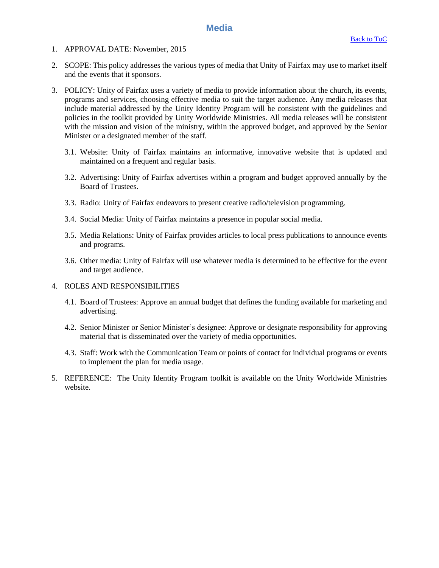### **Media**

- <span id="page-14-0"></span>1. APPROVAL DATE: November, 2015
- 2. SCOPE: This policy addresses the various types of media that Unity of Fairfax may use to market itself and the events that it sponsors.
- 3. POLICY: Unity of Fairfax uses a variety of media to provide information about the church, its events, programs and services, choosing effective media to suit the target audience. Any media releases that include material addressed by the Unity Identity Program will be consistent with the guidelines and policies in the toolkit provided by Unity Worldwide Ministries. All media releases will be consistent with the mission and vision of the ministry, within the approved budget, and approved by the Senior Minister or a designated member of the staff.
	- 3.1. Website: Unity of Fairfax maintains an informative, innovative website that is updated and maintained on a frequent and regular basis.
	- 3.2. Advertising: Unity of Fairfax advertises within a program and budget approved annually by the Board of Trustees.
	- 3.3. Radio: Unity of Fairfax endeavors to present creative radio/television programming.
	- 3.4. Social Media: Unity of Fairfax maintains a presence in popular social media.
	- 3.5. Media Relations: Unity of Fairfax provides articles to local press publications to announce events and programs.
	- 3.6. Other media: Unity of Fairfax will use whatever media is determined to be effective for the event and target audience.

- 4.1. Board of Trustees: Approve an annual budget that defines the funding available for marketing and advertising.
- 4.2. Senior Minister or Senior Minister's designee: Approve or designate responsibility for approving material that is disseminated over the variety of media opportunities.
- 4.3. Staff: Work with the Communication Team or points of contact for individual programs or events to implement the plan for media usage.
- 5. REFERENCE: The Unity Identity Program toolkit is available on the Unity Worldwide Ministries website.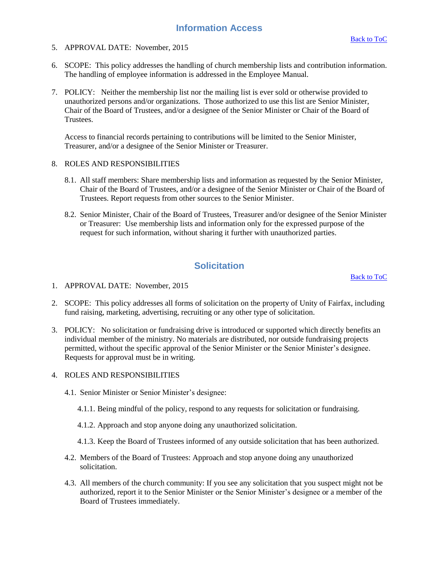### **Information Access**

- <span id="page-15-0"></span>5. APPROVAL DATE: November, 2015
- 6. SCOPE: This policy addresses the handling of church membership lists and contribution information. The handling of employee information is addressed in the Employee Manual.
- 7. POLICY: Neither the membership list nor the mailing list is ever sold or otherwise provided to unauthorized persons and/or organizations. Those authorized to use this list are Senior Minister, Chair of the Board of Trustees, and/or a designee of the Senior Minister or Chair of the Board of Trustees.

Access to financial records pertaining to contributions will be limited to the Senior Minister, Treasurer, and/or a designee of the Senior Minister or Treasurer.

- 8. ROLES AND RESPONSIBILITIES
	- 8.1. All staff members: Share membership lists and information as requested by the Senior Minister, Chair of the Board of Trustees, and/or a designee of the Senior Minister or Chair of the Board of Trustees. Report requests from other sources to the Senior Minister.
	- 8.2. Senior Minister, Chair of the Board of Trustees, Treasurer and/or designee of the Senior Minister or Treasurer: Use membership lists and information only for the expressed purpose of the request for such information, without sharing it further with unauthorized parties.

# **Solicitation**

[Back to ToC](#page-0-0)

- <span id="page-15-1"></span>1. APPROVAL DATE: November, 2015
- 2. SCOPE: This policy addresses all forms of solicitation on the property of Unity of Fairfax, including fund raising, marketing, advertising, recruiting or any other type of solicitation.
- 3. POLICY: No solicitation or fundraising drive is introduced or supported which directly benefits an individual member of the ministry. No materials are distributed, nor outside fundraising projects permitted, without the specific approval of the Senior Minister or the Senior Minister's designee. Requests for approval must be in writing.

- 4.1. Senior Minister or Senior Minister's designee:
	- 4.1.1. Being mindful of the policy, respond to any requests for solicitation or fundraising.
	- 4.1.2. Approach and stop anyone doing any unauthorized solicitation.
	- 4.1.3. Keep the Board of Trustees informed of any outside solicitation that has been authorized.
- 4.2. Members of the Board of Trustees: Approach and stop anyone doing any unauthorized solicitation.
- 4.3. All members of the church community: If you see any solicitation that you suspect might not be authorized, report it to the Senior Minister or the Senior Minister's designee or a member of the Board of Trustees immediately.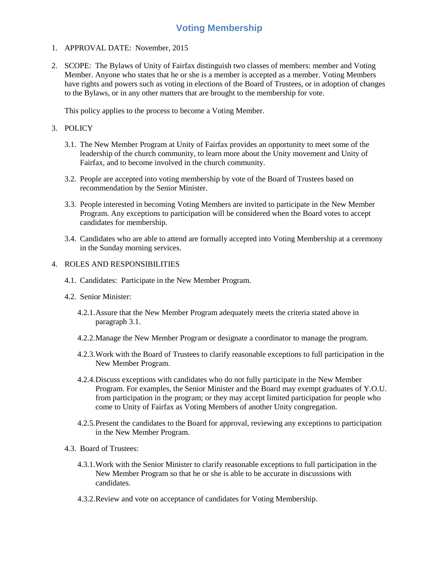# **Voting Membership**

- <span id="page-16-0"></span>1. APPROVAL DATE: November, 2015
- 2. SCOPE: The Bylaws of Unity of Fairfax distinguish two classes of members: member and Voting Member. Anyone who states that he or she is a member is accepted as a member. Voting Members have rights and powers such as voting in elections of the Board of Trustees, or in adoption of changes to the Bylaws, or in any other matters that are brought to the membership for vote.

This policy applies to the process to become a Voting Member.

- 3. POLICY
	- 3.1. The New Member Program at Unity of Fairfax provides an opportunity to meet some of the leadership of the church community, to learn more about the Unity movement and Unity of Fairfax, and to become involved in the church community.
	- 3.2. People are accepted into voting membership by vote of the Board of Trustees based on recommendation by the Senior Minister.
	- 3.3. People interested in becoming Voting Members are invited to participate in the New Member Program. Any exceptions to participation will be considered when the Board votes to accept candidates for membership.
	- 3.4. Candidates who are able to attend are formally accepted into Voting Membership at a ceremony in the Sunday morning services.

- 4.1. Candidates: Participate in the New Member Program.
- 4.2. Senior Minister:
	- 4.2.1.Assure that the New Member Program adequately meets the criteria stated above in paragraph 3.1.
	- 4.2.2.Manage the New Member Program or designate a coordinator to manage the program.
	- 4.2.3.Work with the Board of Trustees to clarify reasonable exceptions to full participation in the New Member Program.
	- 4.2.4.Discuss exceptions with candidates who do not fully participate in the New Member Program. For examples, the Senior Minister and the Board may exempt graduates of Y.O.U. from participation in the program; or they may accept limited participation for people who come to Unity of Fairfax as Voting Members of another Unity congregation.
	- 4.2.5.Present the candidates to the Board for approval, reviewing any exceptions to participation in the New Member Program.
- 4.3. Board of Trustees:
	- 4.3.1.Work with the Senior Minister to clarify reasonable exceptions to full participation in the New Member Program so that he or she is able to be accurate in discussions with candidates.
	- 4.3.2.Review and vote on acceptance of candidates for Voting Membership.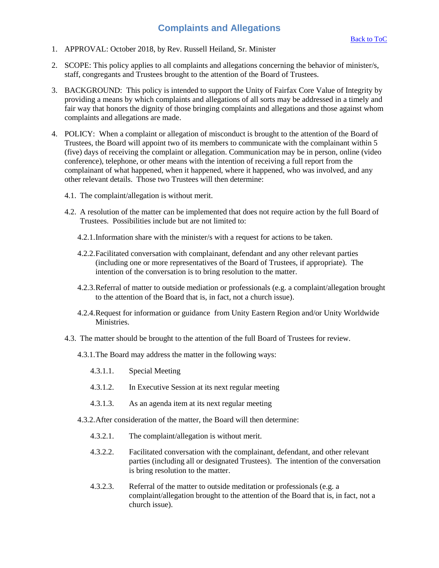# **Complaints and Allegations**

- <span id="page-17-0"></span>1. APPROVAL: October 2018, by Rev. Russell Heiland, Sr. Minister
- 2. SCOPE: This policy applies to all complaints and allegations concerning the behavior of minister/s, staff, congregants and Trustees brought to the attention of the Board of Trustees.
- 3. BACKGROUND: This policy is intended to support the Unity of Fairfax Core Value of Integrity by providing a means by which complaints and allegations of all sorts may be addressed in a timely and fair way that honors the dignity of those bringing complaints and allegations and those against whom complaints and allegations are made.
- 4. POLICY: When a complaint or allegation of misconduct is brought to the attention of the Board of Trustees, the Board will appoint two of its members to communicate with the complainant within 5 (five) days of receiving the complaint or allegation. Communication may be in person, online (video conference), telephone, or other means with the intention of receiving a full report from the complainant of what happened, when it happened, where it happened, who was involved, and any other relevant details. Those two Trustees will then determine:
	- 4.1. The complaint/allegation is without merit.
	- 4.2. A resolution of the matter can be implemented that does not require action by the full Board of Trustees. Possibilities include but are not limited to:
		- 4.2.1.Information share with the minister/s with a request for actions to be taken.
		- 4.2.2.Facilitated conversation with complainant, defendant and any other relevant parties (including one or more representatives of the Board of Trustees, if appropriate). The intention of the conversation is to bring resolution to the matter.
		- 4.2.3.Referral of matter to outside mediation or professionals (e.g. a complaint/allegation brought to the attention of the Board that is, in fact, not a church issue).
		- 4.2.4.Request for information or guidance from Unity Eastern Region and/or Unity Worldwide Ministries.
	- 4.3. The matter should be brought to the attention of the full Board of Trustees for review.
		- 4.3.1.The Board may address the matter in the following ways:
			- 4.3.1.1. Special Meeting
			- 4.3.1.2. In Executive Session at its next regular meeting
			- 4.3.1.3. As an agenda item at its next regular meeting
		- 4.3.2.After consideration of the matter, the Board will then determine:
			- 4.3.2.1. The complaint/allegation is without merit.
			- 4.3.2.2. Facilitated conversation with the complainant, defendant, and other relevant parties (including all or designated Trustees). The intention of the conversation is bring resolution to the matter.
			- 4.3.2.3. Referral of the matter to outside meditation or professionals (e.g. a complaint/allegation brought to the attention of the Board that is, in fact, not a church issue).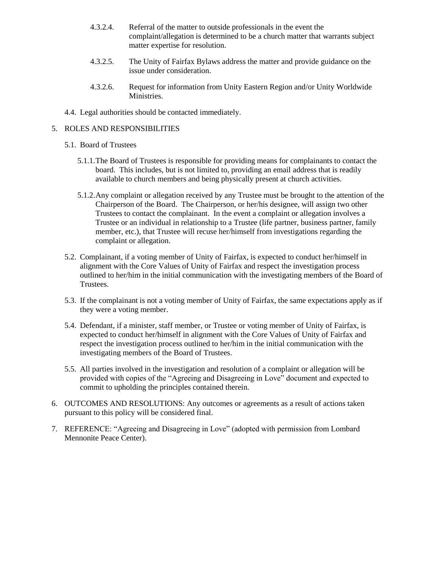- 4.3.2.4. Referral of the matter to outside professionals in the event the complaint/allegation is determined to be a church matter that warrants subject matter expertise for resolution.
- 4.3.2.5. The Unity of Fairfax Bylaws address the matter and provide guidance on the issue under consideration.
- 4.3.2.6. Request for information from Unity Eastern Region and/or Unity Worldwide Ministries.
- 4.4. Legal authorities should be contacted immediately.

- 5.1. Board of Trustees
	- 5.1.1.The Board of Trustees is responsible for providing means for complainants to contact the board. This includes, but is not limited to, providing an email address that is readily available to church members and being physically present at church activities.
	- 5.1.2.Any complaint or allegation received by any Trustee must be brought to the attention of the Chairperson of the Board. The Chairperson, or her/his designee, will assign two other Trustees to contact the complainant. In the event a complaint or allegation involves a Trustee or an individual in relationship to a Trustee (life partner, business partner, family member, etc.), that Trustee will recuse her/himself from investigations regarding the complaint or allegation.
- 5.2. Complainant, if a voting member of Unity of Fairfax, is expected to conduct her/himself in alignment with the Core Values of Unity of Fairfax and respect the investigation process outlined to her/him in the initial communication with the investigating members of the Board of Trustees.
- 5.3. If the complainant is not a voting member of Unity of Fairfax, the same expectations apply as if they were a voting member.
- 5.4. Defendant, if a minister, staff member, or Trustee or voting member of Unity of Fairfax, is expected to conduct her/himself in alignment with the Core Values of Unity of Fairfax and respect the investigation process outlined to her/him in the initial communication with the investigating members of the Board of Trustees.
- 5.5. All parties involved in the investigation and resolution of a complaint or allegation will be provided with copies of the "Agreeing and Disagreeing in Love" document and expected to commit to upholding the principles contained therein.
- 6. OUTCOMES AND RESOLUTIONS: Any outcomes or agreements as a result of actions taken pursuant to this policy will be considered final.
- 7. REFERENCE: "Agreeing and Disagreeing in Love" (adopted with permission from Lombard Mennonite Peace Center).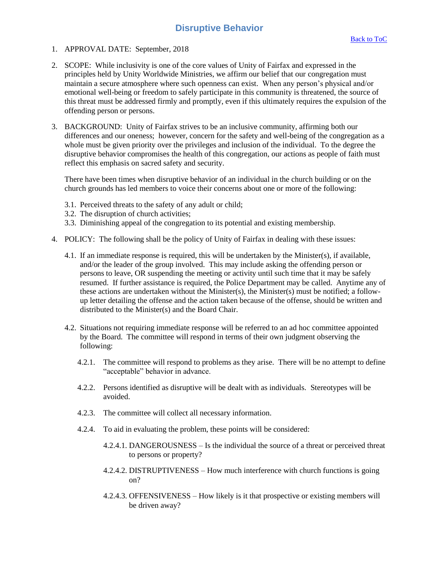### **Disruptive Behavior**

- <span id="page-19-0"></span>1. APPROVAL DATE: September, 2018
- 2. SCOPE: While inclusivity is one of the core values of Unity of Fairfax and expressed in the principles held by Unity Worldwide Ministries, we affirm our belief that our congregation must maintain a secure atmosphere where such openness can exist. When any person's physical and/or emotional well-being or freedom to safely participate in this community is threatened, the source of this threat must be addressed firmly and promptly, even if this ultimately requires the expulsion of the offending person or persons.
- 3. BACKGROUND: Unity of Fairfax strives to be an inclusive community, affirming both our differences and our oneness; however, concern for the safety and well-being of the congregation as a whole must be given priority over the privileges and inclusion of the individual. To the degree the disruptive behavior compromises the health of this congregation, our actions as people of faith must reflect this emphasis on sacred safety and security.

There have been times when disruptive behavior of an individual in the church building or on the church grounds has led members to voice their concerns about one or more of the following:

- 3.1. Perceived threats to the safety of any adult or child;
- 3.2. The disruption of church activities;
- 3.3. Diminishing appeal of the congregation to its potential and existing membership.
- 4. POLICY: The following shall be the policy of Unity of Fairfax in dealing with these issues:
	- 4.1. If an immediate response is required, this will be undertaken by the Minister(s), if available, and/or the leader of the group involved. This may include asking the offending person or persons to leave, OR suspending the meeting or activity until such time that it may be safely resumed. If further assistance is required, the Police Department may be called. Anytime any of these actions are undertaken without the Minister(s), the Minister(s) must be notified; a followup letter detailing the offense and the action taken because of the offense, should be written and distributed to the Minister(s) and the Board Chair.
	- 4.2. Situations not requiring immediate response will be referred to an ad hoc committee appointed by the Board. The committee will respond in terms of their own judgment observing the following:
		- 4.2.1. The committee will respond to problems as they arise. There will be no attempt to define "acceptable" behavior in advance.
		- 4.2.2. Persons identified as disruptive will be dealt with as individuals. Stereotypes will be avoided.
		- 4.2.3. The committee will collect all necessary information.
		- 4.2.4. To aid in evaluating the problem, these points will be considered:
			- 4.2.4.1. DANGEROUSNESS Is the individual the source of a threat or perceived threat to persons or property?
			- 4.2.4.2. DISTRUPTIVENESS How much interference with church functions is going on?
			- 4.2.4.3. OFFENSIVENESS How likely is it that prospective or existing members will be driven away?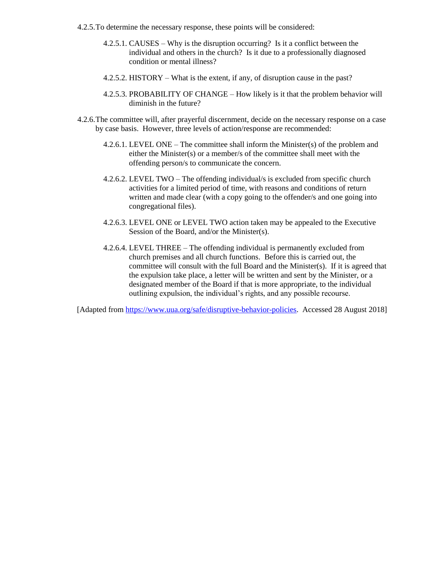- 4.2.5.To determine the necessary response, these points will be considered:
	- 4.2.5.1. CAUSES Why is the disruption occurring? Is it a conflict between the individual and others in the church? Is it due to a professionally diagnosed condition or mental illness?
	- 4.2.5.2. HISTORY What is the extent, if any, of disruption cause in the past?
	- 4.2.5.3. PROBABILITY OF CHANGE How likely is it that the problem behavior will diminish in the future?
- 4.2.6.The committee will, after prayerful discernment, decide on the necessary response on a case by case basis. However, three levels of action/response are recommended:
	- 4.2.6.1. LEVEL ONE The committee shall inform the Minister(s) of the problem and either the Minister(s) or a member/s of the committee shall meet with the offending person/s to communicate the concern.
	- 4.2.6.2. LEVEL TWO The offending individual/s is excluded from specific church activities for a limited period of time, with reasons and conditions of return written and made clear (with a copy going to the offender/s and one going into congregational files).
	- 4.2.6.3. LEVEL ONE or LEVEL TWO action taken may be appealed to the Executive Session of the Board, and/or the Minister(s).
	- 4.2.6.4. LEVEL THREE The offending individual is permanently excluded from church premises and all church functions. Before this is carried out, the committee will consult with the full Board and the Minister(s). If it is agreed that the expulsion take place, a letter will be written and sent by the Minister, or a designated member of the Board if that is more appropriate, to the individual outlining expulsion, the individual's rights, and any possible recourse.

[Adapted from [https://www.uua.org/safe/disruptive-behavior-policies.](https://www.uua.org/safe/disruptive-behavior-policies) Accessed 28 August 2018]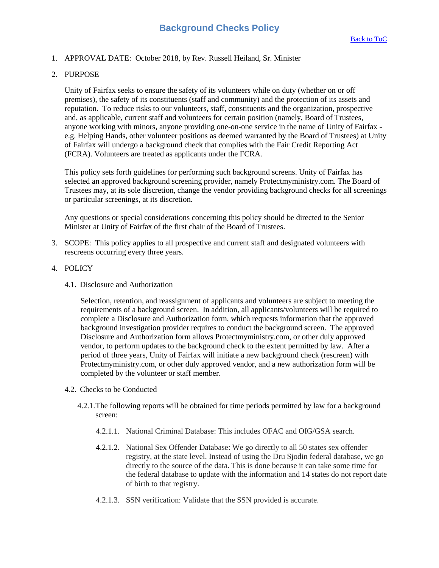### <span id="page-21-0"></span>1. APPROVAL DATE: October 2018, by Rev. Russell Heiland, Sr. Minister

2. PURPOSE

Unity of Fairfax seeks to ensure the safety of its volunteers while on duty (whether on or off premises), the safety of its constituents (staff and community) and the protection of its assets and reputation. To reduce risks to our volunteers, staff, constituents and the organization, prospective and, as applicable, current staff and volunteers for certain position (namely, Board of Trustees, anyone working with minors, anyone providing one-on-one service in the name of Unity of Fairfax e.g. Helping Hands, other volunteer positions as deemed warranted by the Board of Trustees) at Unity of Fairfax will undergo a background check that complies with the Fair Credit Reporting Act (FCRA). Volunteers are treated as applicants under the FCRA.

This policy sets forth guidelines for performing such background screens. Unity of Fairfax has selected an approved background screening provider, namely Protectmyministry.com. The Board of Trustees may, at its sole discretion, change the vendor providing background checks for all screenings or particular screenings, at its discretion.

Any questions or special considerations concerning this policy should be directed to the Senior Minister at Unity of Fairfax of the first chair of the Board of Trustees.

- 3. SCOPE: This policy applies to all prospective and current staff and designated volunteers with rescreens occurring every three years.
- 4. POLICY
	- 4.1. Disclosure and Authorization

Selection, retention, and reassignment of applicants and volunteers are subject to meeting the requirements of a background screen. In addition, all applicants/volunteers will be required to complete a Disclosure and Authorization form, which requests information that the approved background investigation provider requires to conduct the background screen. The approved Disclosure and Authorization form allows Protectmyministry.com, or other duly approved vendor, to perform updates to the background check to the extent permitted by law. After a period of three years, Unity of Fairfax will initiate a new background check (rescreen) with Protectmyministry.com, or other duly approved vendor, and a new authorization form will be completed by the volunteer or staff member.

- 4.2. Checks to be Conducted
	- 4.2.1.The following reports will be obtained for time periods permitted by law for a background screen:
		- 4.2.1.1. National Criminal Database: This includes OFAC and OIG/GSA search.
		- 4.2.1.2. National Sex Offender Database: We go directly to all 50 states sex offender registry, at the state level. Instead of using the Dru Sjodin federal database, we go directly to the source of the data. This is done because it can take some time for the federal database to update with the information and 14 states do not report date of birth to that registry.
		- 4.2.1.3. SSN verification: Validate that the SSN provided is accurate.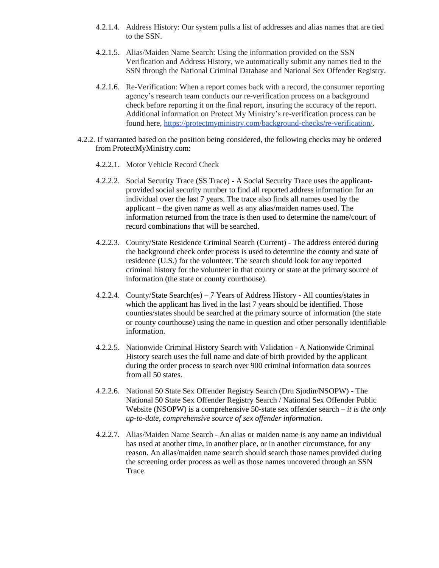- 4.2.1.4. Address History: Our system pulls a list of addresses and alias names that are tied to the SSN.
- 4.2.1.5. Alias/Maiden Name Search: Using the information provided on the SSN Verification and Address History, we automatically submit any names tied to the SSN through the National Criminal Database and National Sex Offender Registry.
- 4.2.1.6. Re-Verification: When a report comes back with a record, the consumer reporting agency's research team conducts our re-verification process on a background check before reporting it on the final report, insuring the accuracy of the report. Additional information on Protect My Ministry's re-verification process can be found here, [https://protectmyministry.com/background-checks/re-verification/.](https://protectmyministry.com/background-checks/re-verification/)
- 4.2.2. If warranted based on the position being considered, the following checks may be ordered from ProtectMyMinistry.com:
	- 4.2.2.1. Motor Vehicle Record Check
	- 4.2.2.2. Social Security Trace (SS Trace) A Social Security Trace uses the applicantprovided social security number to find all reported address information for an individual over the last 7 years. The trace also finds all names used by the applicant – the given name as well as any alias/maiden names used. The information returned from the trace is then used to determine the name/court of record combinations that will be searched.
	- 4.2.2.3. County/State Residence Criminal Search (Current) The address entered during the background check order process is used to determine the county and state of residence (U.S.) for the volunteer. The search should look for any reported criminal history for the volunteer in that county or state at the primary source of information (the state or county courthouse).
	- 4.2.2.4. County/State Search(es) 7 Years of Address History All counties/states in which the applicant has lived in the last 7 years should be identified. Those counties/states should be searched at the primary source of information (the state or county courthouse) using the name in question and other personally identifiable information.
	- 4.2.2.5. Nationwide Criminal History Search with Validation A Nationwide Criminal History search uses the full name and date of birth provided by the applicant during the order process to search over 900 criminal information data sources from all 50 states.
	- 4.2.2.6. National 50 State Sex Offender Registry Search (Dru Sjodin/NSOPW) The National 50 State Sex Offender Registry Search / National Sex Offender Public Website (NSOPW) is a comprehensive 50-state sex offender search – *it is the only up-to-date, comprehensive source of sex offender information.*
	- 4.2.2.7. Alias/Maiden Name Search An alias or maiden name is any name an individual has used at another time, in another place, or in another circumstance, for any reason. An alias/maiden name search should search those names provided during the screening order process as well as those names uncovered through an SSN Trace.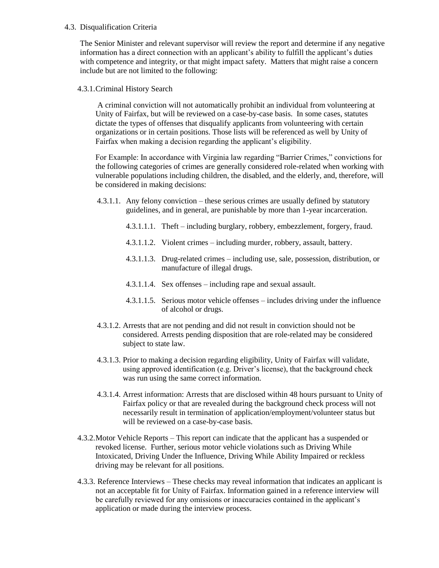#### 4.3. Disqualification Criteria

The Senior Minister and relevant supervisor will review the report and determine if any negative information has a direct connection with an applicant's ability to fulfill the applicant's duties with competence and integrity, or that might impact safety. Matters that might raise a concern include but are not limited to the following:

4.3.1.Criminal History Search

A criminal conviction will not automatically prohibit an individual from volunteering at Unity of Fairfax, but will be reviewed on a case-by-case basis. In some cases, statutes dictate the types of offenses that disqualify applicants from volunteering with certain organizations or in certain positions. Those lists will be referenced as well by Unity of Fairfax when making a decision regarding the applicant's eligibility.

For Example: In accordance with Virginia law regarding "Barrier Crimes," convictions for the following categories of crimes are generally considered role-related when working with vulnerable populations including children, the disabled, and the elderly, and, therefore, will be considered in making decisions:

- 4.3.1.1. Any felony conviction these serious crimes are usually defined by statutory guidelines, and in general, are punishable by more than 1-year incarceration.
	- 4.3.1.1.1. Theft including burglary, robbery, embezzlement, forgery, fraud.
	- 4.3.1.1.2. Violent crimes including murder, robbery, assault, battery.
	- 4.3.1.1.3. Drug-related crimes including use, sale, possession, distribution, or manufacture of illegal drugs.
	- 4.3.1.1.4. Sex offenses including rape and sexual assault.
	- 4.3.1.1.5. Serious motor vehicle offenses includes driving under the influence of alcohol or drugs.
- 4.3.1.2. Arrests that are not pending and did not result in conviction should not be considered. Arrests pending disposition that are role-related may be considered subject to state law.
- 4.3.1.3. Prior to making a decision regarding eligibility, Unity of Fairfax will validate, using approved identification (e.g. Driver's license), that the background check was run using the same correct information.
- 4.3.1.4. Arrest information: Arrests that are disclosed within 48 hours pursuant to Unity of Fairfax policy or that are revealed during the background check process will not necessarily result in termination of application/employment/volunteer status but will be reviewed on a case-by-case basis.
- 4.3.2.Motor Vehicle Reports This report can indicate that the applicant has a suspended or revoked license. Further, serious motor vehicle violations such as Driving While Intoxicated, Driving Under the Influence, Driving While Ability Impaired or reckless driving may be relevant for all positions.
- 4.3.3. Reference Interviews These checks may reveal information that indicates an applicant is not an acceptable fit for Unity of Fairfax. Information gained in a reference interview will be carefully reviewed for any omissions or inaccuracies contained in the applicant's application or made during the interview process.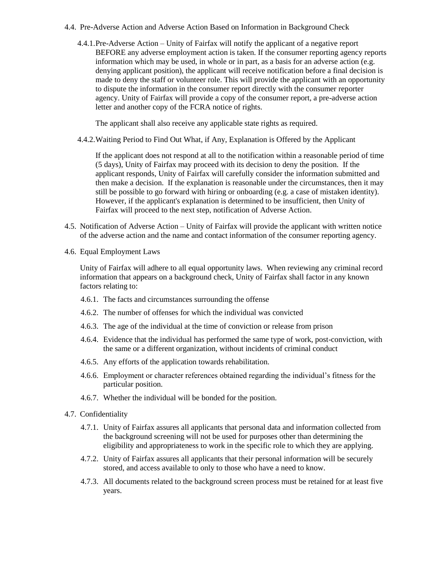- 4.4. Pre-Adverse Action and Adverse Action Based on Information in Background Check
	- 4.4.1.Pre-Adverse Action Unity of Fairfax will notify the applicant of a negative report BEFORE any adverse employment action is taken. If the consumer reporting agency reports information which may be used, in whole or in part, as a basis for an adverse action (e.g. denying applicant position), the applicant will receive notification before a final decision is made to deny the staff or volunteer role. This will provide the applicant with an opportunity to dispute the information in the consumer report directly with the consumer reporter agency. Unity of Fairfax will provide a copy of the consumer report, a pre-adverse action letter and another copy of the FCRA notice of rights.

The applicant shall also receive any applicable state rights as required.

4.4.2.Waiting Period to Find Out What, if Any, Explanation is Offered by the Applicant

If the applicant does not respond at all to the notification within a reasonable period of time (5 days), Unity of Fairfax may proceed with its decision to deny the position. If the applicant responds, Unity of Fairfax will carefully consider the information submitted and then make a decision. If the explanation is reasonable under the circumstances, then it may still be possible to go forward with hiring or onboarding (e.g. a case of mistaken identity). However, if the applicant's explanation is determined to be insufficient, then Unity of Fairfax will proceed to the next step, notification of Adverse Action.

- 4.5. Notification of Adverse Action Unity of Fairfax will provide the applicant with written notice of the adverse action and the name and contact information of the consumer reporting agency.
- 4.6. Equal Employment Laws

Unity of Fairfax will adhere to all equal opportunity laws. When reviewing any criminal record information that appears on a background check, Unity of Fairfax shall factor in any known factors relating to:

- 4.6.1. The facts and circumstances surrounding the offense
- 4.6.2. The number of offenses for which the individual was convicted
- 4.6.3. The age of the individual at the time of conviction or release from prison
- 4.6.4. Evidence that the individual has performed the same type of work, post-conviction, with the same or a different organization, without incidents of criminal conduct
- 4.6.5. Any efforts of the application towards rehabilitation.
- 4.6.6. Employment or character references obtained regarding the individual's fitness for the particular position.
- 4.6.7. Whether the individual will be bonded for the position.
- 4.7. Confidentiality
	- 4.7.1. Unity of Fairfax assures all applicants that personal data and information collected from the background screening will not be used for purposes other than determining the eligibility and appropriateness to work in the specific role to which they are applying.
	- 4.7.2. Unity of Fairfax assures all applicants that their personal information will be securely stored, and access available to only to those who have a need to know.
	- 4.7.3. All documents related to the background screen process must be retained for at least five years.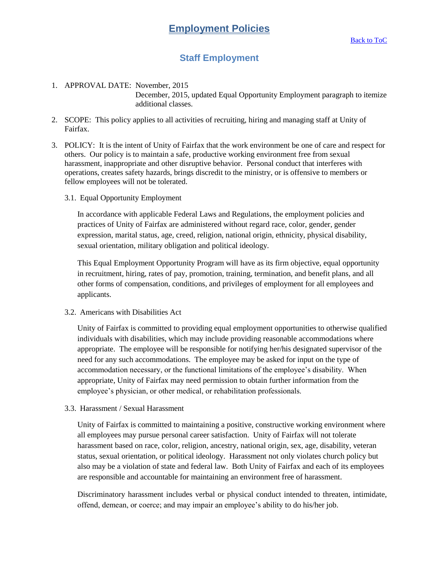# **Staff Employment**

### <span id="page-25-1"></span><span id="page-25-0"></span>1. APPROVAL DATE: November, 2015 December, 2015, updated Equal Opportunity Employment paragraph to itemize additional classes.

- 2. SCOPE: This policy applies to all activities of recruiting, hiring and managing staff at Unity of Fairfax.
- 3. POLICY: It is the intent of Unity of Fairfax that the work environment be one of care and respect for others. Our policy is to maintain a safe, productive working environment free from sexual harassment, inappropriate and other disruptive behavior. Personal conduct that interferes with operations, creates safety hazards, brings discredit to the ministry, or is offensive to members or fellow employees will not be tolerated.
	- 3.1. Equal Opportunity Employment

In accordance with applicable Federal Laws and Regulations, the employment policies and practices of Unity of Fairfax are administered without regard race, color, gender, gender expression, marital status, age, creed, religion, national origin, ethnicity, physical disability, sexual orientation, military obligation and political ideology.

This Equal Employment Opportunity Program will have as its firm objective, equal opportunity in recruitment, hiring, rates of pay, promotion, training, termination, and benefit plans, and all other forms of compensation, conditions, and privileges of employment for all employees and applicants.

3.2. Americans with Disabilities Act

Unity of Fairfax is committed to providing equal employment opportunities to otherwise qualified individuals with disabilities, which may include providing reasonable accommodations where appropriate. The employee will be responsible for notifying her/his designated supervisor of the need for any such accommodations. The employee may be asked for input on the type of accommodation necessary, or the functional limitations of the employee's disability. When appropriate, Unity of Fairfax may need permission to obtain further information from the employee's physician, or other medical, or rehabilitation professionals.

3.3. Harassment / Sexual Harassment

Unity of Fairfax is committed to maintaining a positive, constructive working environment where all employees may pursue personal career satisfaction. Unity of Fairfax will not tolerate harassment based on race, color, religion, ancestry, national origin, sex, age, disability, veteran status, sexual orientation, or political ideology. Harassment not only violates church policy but also may be a violation of state and federal law. Both Unity of Fairfax and each of its employees are responsible and accountable for maintaining an environment free of harassment.

Discriminatory harassment includes verbal or physical conduct intended to threaten, intimidate, offend, demean, or coerce; and may impair an employee's ability to do his/her job.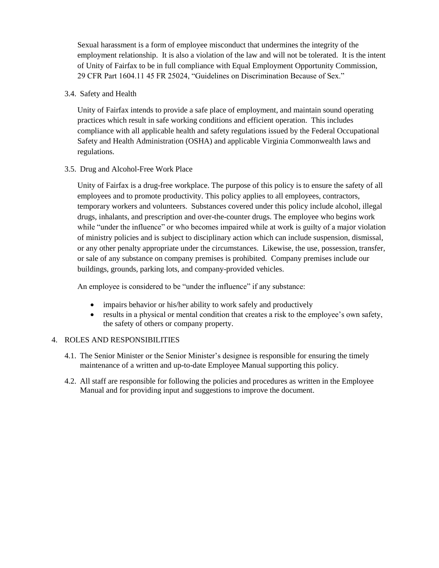Sexual harassment is a form of employee misconduct that undermines the integrity of the employment relationship. It is also a violation of the law and will not be tolerated. It is the intent of Unity of Fairfax to be in full compliance with Equal Employment Opportunity Commission, 29 CFR Part 1604.11 45 FR 25024, "Guidelines on Discrimination Because of Sex."

3.4. Safety and Health

Unity of Fairfax intends to provide a safe place of employment, and maintain sound operating practices which result in safe working conditions and efficient operation. This includes compliance with all applicable health and safety regulations issued by the Federal Occupational Safety and Health Administration (OSHA) and applicable Virginia Commonwealth laws and regulations.

3.5. Drug and Alcohol-Free Work Place

Unity of Fairfax is a drug-free workplace. The purpose of this policy is to ensure the safety of all employees and to promote productivity. This policy applies to all employees, contractors, temporary workers and volunteers. Substances covered under this policy include alcohol, illegal drugs, inhalants, and prescription and over-the-counter drugs. The employee who begins work while "under the influence" or who becomes impaired while at work is guilty of a major violation of ministry policies and is subject to disciplinary action which can include suspension, dismissal, or any other penalty appropriate under the circumstances. Likewise, the use, possession, transfer, or sale of any substance on company premises is prohibited. Company premises include our buildings, grounds, parking lots, and company-provided vehicles.

An employee is considered to be "under the influence" if any substance:

- impairs behavior or his/her ability to work safely and productively
- results in a physical or mental condition that creates a risk to the employee's own safety, the safety of others or company property.

- 4.1. The Senior Minister or the Senior Minister's designee is responsible for ensuring the timely maintenance of a written and up-to-date Employee Manual supporting this policy.
- 4.2. All staff are responsible for following the policies and procedures as written in the Employee Manual and for providing input and suggestions to improve the document.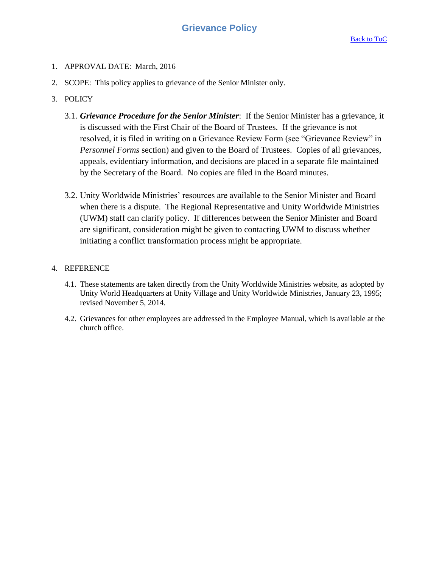- <span id="page-27-0"></span>1. APPROVAL DATE: March, 2016
- 2. SCOPE: This policy applies to grievance of the Senior Minister only.
- 3. POLICY
	- 3.1. *Grievance Procedure for the Senior Minister*: If the Senior Minister has a grievance, it is discussed with the First Chair of the Board of Trustees. If the grievance is not resolved, it is filed in writing on a Grievance Review Form (see "Grievance Review" in *Personnel Forms* section) and given to the Board of Trustees. Copies of all grievances, appeals, evidentiary information, and decisions are placed in a separate file maintained by the Secretary of the Board. No copies are filed in the Board minutes.
	- 3.2. Unity Worldwide Ministries' resources are available to the Senior Minister and Board when there is a dispute. The Regional Representative and Unity Worldwide Ministries (UWM) staff can clarify policy. If differences between the Senior Minister and Board are significant, consideration might be given to contacting UWM to discuss whether initiating a conflict transformation process might be appropriate.

### 4. REFERENCE

- 4.1. These statements are taken directly from the Unity Worldwide Ministries website, as adopted by Unity World Headquarters at Unity Village and Unity Worldwide Ministries, January 23, 1995; revised November 5, 2014.
- 4.2. Grievances for other employees are addressed in the Employee Manual, which is available at the church office.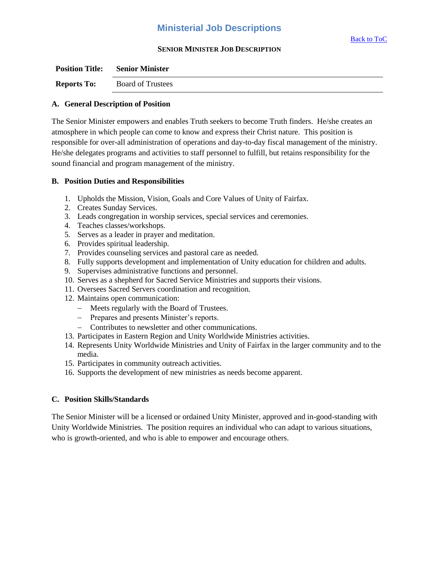### **Ministerial Job Descriptions**

### **SENIOR MINISTER JOB DESCRIPTION**

<span id="page-28-0"></span>

| <b>Position Title:</b> | <b>Senior Minister</b>   |
|------------------------|--------------------------|
| <b>Reports To:</b>     | <b>Board of Trustees</b> |

#### **A. General Description of Position**

The Senior Minister empowers and enables Truth seekers to become Truth finders. He/she creates an atmosphere in which people can come to know and express their Christ nature. This position is responsible for over-all administration of operations and day-to-day fiscal management of the ministry. He/she delegates programs and activities to staff personnel to fulfill, but retains responsibility for the sound financial and program management of the ministry.

#### **B. Position Duties and Responsibilities**

- 1. Upholds the Mission, Vision, Goals and Core Values of Unity of Fairfax.
- 2. Creates Sunday Services.
- 3. Leads congregation in worship services, special services and ceremonies.
- 4. Teaches classes/workshops.
- 5. Serves as a leader in prayer and meditation.
- 6. Provides spiritual leadership.
- 7. Provides counseling services and pastoral care as needed.
- 8. Fully supports development and implementation of Unity education for children and adults.
- 9. Supervises administrative functions and personnel.
- 10. Serves as a shepherd for Sacred Service Ministries and supports their visions.
- 11. Oversees Sacred Servers coordination and recognition.
- 12. Maintains open communication:
	- Meets regularly with the Board of Trustees.
	- Prepares and presents Minister's reports.
	- Contributes to newsletter and other communications.
- 13. Participates in Eastern Region and Unity Worldwide Ministries activities.
- 14. Represents Unity Worldwide Ministries and Unity of Fairfax in the larger community and to the media.
- 15. Participates in community outreach activities.
- 16. Supports the development of new ministries as needs become apparent.

### **C. Position Skills/Standards**

The Senior Minister will be a licensed or ordained Unity Minister, approved and in-good-standing with Unity Worldwide Ministries. The position requires an individual who can adapt to various situations, who is growth-oriented, and who is able to empower and encourage others.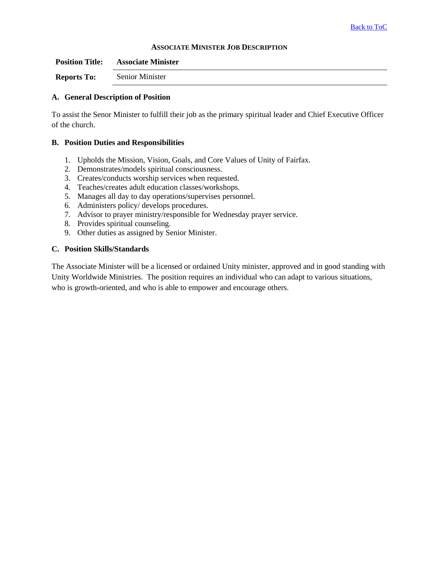#### **ASSOCIATE MINISTER JOB DESCRIPTION**

| <b>Position Title:</b> | <b>Associate Minister</b> |
|------------------------|---------------------------|
| <b>Reports To:</b>     | Senior Minister           |

### **A. General Description of Position**

To assist the Senor Minister to fulfill their job as the primary spiritual leader and Chief Executive Officer of the church.

### **B. Position Duties and Responsibilities**

- 1. Upholds the Mission, Vision, Goals, and Core Values of Unity of Fairfax.
- 2. Demonstrates/models spiritual consciousness.
- 3. Creates/conducts worship services when requested.
- 4. Teaches/creates adult education classes/workshops.
- 5. Manages all day to day operations/supervises personnel.
- 6. Administers policy/ develops procedures.
- 7. Advisor to prayer ministry/responsible for Wednesday prayer service.
- 8. Provides spiritual counseling.
- 9. Other duties as assigned by Senior Minister.

### **C. Position Skills/Standards**

The Associate Minister will be a licensed or ordained Unity minister, approved and in good standing with Unity Worldwide Ministries. The position requires an individual who can adapt to various situations, who is growth-oriented, and who is able to empower and encourage others.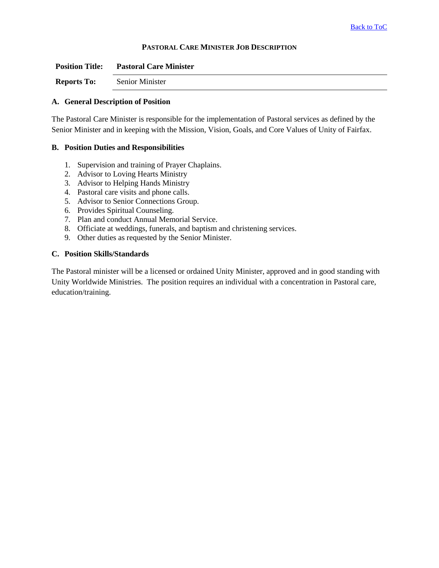### **PASTORAL CARE MINISTER JOB DESCRIPTION**

| <b>Position Title:</b> | <b>Pastoral Care Minister</b> |
|------------------------|-------------------------------|
| <b>Reports To:</b>     | Senior Minister               |

#### **A. General Description of Position**

The Pastoral Care Minister is responsible for the implementation of Pastoral services as defined by the Senior Minister and in keeping with the Mission, Vision, Goals, and Core Values of Unity of Fairfax.

### **B. Position Duties and Responsibilities**

- 1. Supervision and training of Prayer Chaplains.
- 2. Advisor to Loving Hearts Ministry
- 3. Advisor to Helping Hands Ministry
- 4. Pastoral care visits and phone calls.
- 5. Advisor to Senior Connections Group.
- 6. Provides Spiritual Counseling.
- 7. Plan and conduct Annual Memorial Service.
- 8. Officiate at weddings, funerals, and baptism and christening services.
- 9. Other duties as requested by the Senior Minister.

### **C. Position Skills/Standards**

The Pastoral minister will be a licensed or ordained Unity Minister, approved and in good standing with Unity Worldwide Ministries. The position requires an individual with a concentration in Pastoral care, education/training.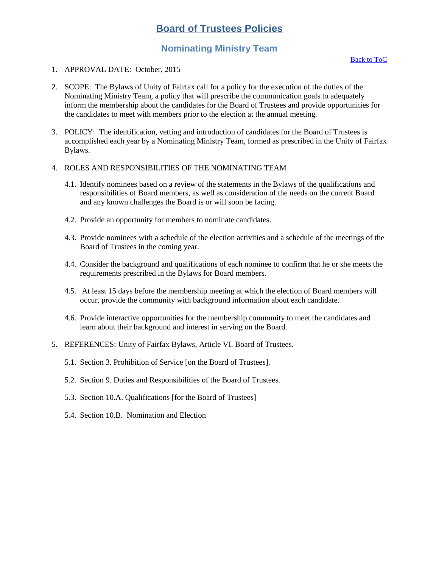# **Nominating Ministry Team**

- <span id="page-31-1"></span><span id="page-31-0"></span>1. APPROVAL DATE: October, 2015
- 2. SCOPE: The Bylaws of Unity of Fairfax call for a policy for the execution of the duties of the Nominating Ministry Team, a policy that will prescribe the communication goals to adequately inform the membership about the candidates for the Board of Trustees and provide opportunities for the candidates to meet with members prior to the election at the annual meeting.
- 3. POLICY: The identification, vetting and introduction of candidates for the Board of Trustees is accomplished each year by a Nominating Ministry Team, formed as prescribed in the Unity of Fairfax Bylaws.
- 4. ROLES AND RESPONSIBILITIES OF THE NOMINATING TEAM
	- 4.1. Identify nominees based on a review of the statements in the Bylaws of the qualifications and responsibilities of Board members, as well as consideration of the needs on the current Board and any known challenges the Board is or will soon be facing.
	- 4.2. Provide an opportunity for members to nominate candidates.
	- 4.3. Provide nominees with a schedule of the election activities and a schedule of the meetings of the Board of Trustees in the coming year.
	- 4.4. Consider the background and qualifications of each nominee to confirm that he or she meets the requirements prescribed in the Bylaws for Board members.
	- 4.5. At least 15 days before the membership meeting at which the election of Board members will occur, provide the community with background information about each candidate.
	- 4.6. Provide interactive opportunities for the membership community to meet the candidates and learn about their background and interest in serving on the Board.
- 5. REFERENCES: Unity of Fairfax Bylaws, Article VI. Board of Trustees.
	- 5.1. Section 3. Prohibition of Service [on the Board of Trustees].
	- 5.2. Section 9. Duties and Responsibilities of the Board of Trustees.
	- 5.3. Section 10.A. Qualifications [for the Board of Trustees]
	- 5.4. Section 10.B. Nomination and Election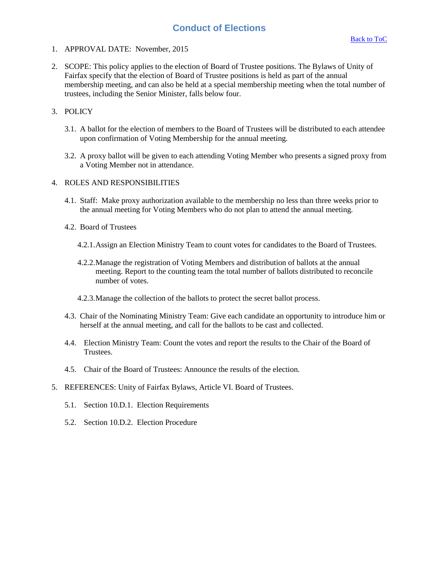### **Conduct of Elections**

- <span id="page-32-0"></span>1. APPROVAL DATE: November, 2015
- 2. SCOPE: This policy applies to the election of Board of Trustee positions. The Bylaws of Unity of Fairfax specify that the election of Board of Trustee positions is held as part of the annual membership meeting, and can also be held at a special membership meeting when the total number of trustees, including the Senior Minister, falls below four.

### 3. POLICY

- 3.1. A ballot for the election of members to the Board of Trustees will be distributed to each attendee upon confirmation of Voting Membership for the annual meeting.
- 3.2. A proxy ballot will be given to each attending Voting Member who presents a signed proxy from a Voting Member not in attendance.

- 4.1. Staff: Make proxy authorization available to the membership no less than three weeks prior to the annual meeting for Voting Members who do not plan to attend the annual meeting.
- 4.2. Board of Trustees
	- 4.2.1.Assign an Election Ministry Team to count votes for candidates to the Board of Trustees.
	- 4.2.2.Manage the registration of Voting Members and distribution of ballots at the annual meeting. Report to the counting team the total number of ballots distributed to reconcile number of votes.
	- 4.2.3.Manage the collection of the ballots to protect the secret ballot process.
- 4.3. Chair of the Nominating Ministry Team: Give each candidate an opportunity to introduce him or herself at the annual meeting, and call for the ballots to be cast and collected.
- 4.4. Election Ministry Team: Count the votes and report the results to the Chair of the Board of Trustees.
- 4.5. Chair of the Board of Trustees: Announce the results of the election.
- 5. REFERENCES: Unity of Fairfax Bylaws, Article VI. Board of Trustees.
	- 5.1. Section 10.D.1. Election Requirements
	- 5.2. Section 10.D.2. Election Procedure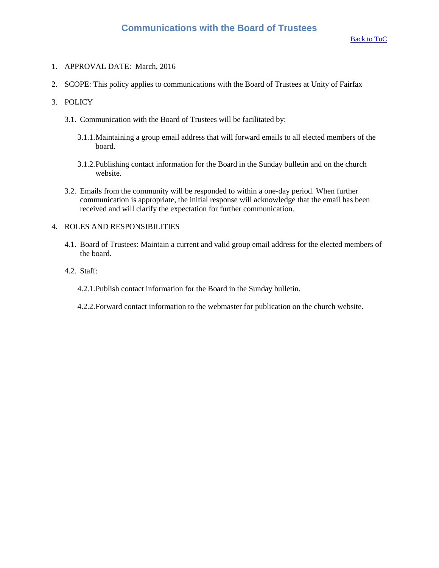- <span id="page-33-0"></span>1. APPROVAL DATE: March, 2016
- 2. SCOPE: This policy applies to communications with the Board of Trustees at Unity of Fairfax

#### 3. POLICY

- 3.1. Communication with the Board of Trustees will be facilitated by:
	- 3.1.1.Maintaining a group email address that will forward emails to all elected members of the board.
	- 3.1.2.Publishing contact information for the Board in the Sunday bulletin and on the church website.
- 3.2. Emails from the community will be responded to within a one-day period. When further communication is appropriate, the initial response will acknowledge that the email has been received and will clarify the expectation for further communication.

- 4.1. Board of Trustees: Maintain a current and valid group email address for the elected members of the board.
- 4.2. Staff:
	- 4.2.1.Publish contact information for the Board in the Sunday bulletin.
	- 4.2.2.Forward contact information to the webmaster for publication on the church website.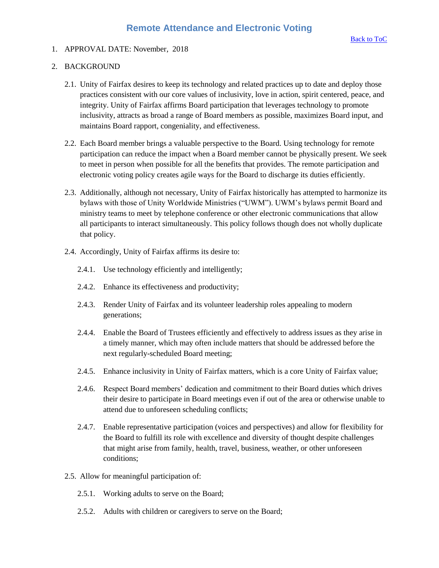### <span id="page-34-0"></span>1. APPROVAL DATE: November, 2018

### 2. BACKGROUND

- 2.1. Unity of Fairfax desires to keep its technology and related practices up to date and deploy those practices consistent with our core values of inclusivity, love in action, spirit centered, peace, and integrity. Unity of Fairfax affirms Board participation that leverages technology to promote inclusivity, attracts as broad a range of Board members as possible, maximizes Board input, and maintains Board rapport, congeniality, and effectiveness.
- 2.2. Each Board member brings a valuable perspective to the Board. Using technology for remote participation can reduce the impact when a Board member cannot be physically present. We seek to meet in person when possible for all the benefits that provides. The remote participation and electronic voting policy creates agile ways for the Board to discharge its duties efficiently.
- 2.3. Additionally, although not necessary, Unity of Fairfax historically has attempted to harmonize its bylaws with those of Unity Worldwide Ministries ("UWM"). UWM's bylaws permit Board and ministry teams to meet by telephone conference or other electronic communications that allow all participants to interact simultaneously. This policy follows though does not wholly duplicate that policy.
- 2.4. Accordingly, Unity of Fairfax affirms its desire to:
	- 2.4.1. Use technology efficiently and intelligently;
	- 2.4.2. Enhance its effectiveness and productivity;
	- 2.4.3. Render Unity of Fairfax and its volunteer leadership roles appealing to modern generations;
	- 2.4.4. Enable the Board of Trustees efficiently and effectively to address issues as they arise in a timely manner, which may often include matters that should be addressed before the next regularly-scheduled Board meeting;
	- 2.4.5. Enhance inclusivity in Unity of Fairfax matters, which is a core Unity of Fairfax value;
	- 2.4.6. Respect Board members' dedication and commitment to their Board duties which drives their desire to participate in Board meetings even if out of the area or otherwise unable to attend due to unforeseen scheduling conflicts;
	- 2.4.7. Enable representative participation (voices and perspectives) and allow for flexibility for the Board to fulfill its role with excellence and diversity of thought despite challenges that might arise from family, health, travel, business, weather, or other unforeseen conditions;
- 2.5. Allow for meaningful participation of:
	- 2.5.1. Working adults to serve on the Board;
	- 2.5.2. Adults with children or caregivers to serve on the Board;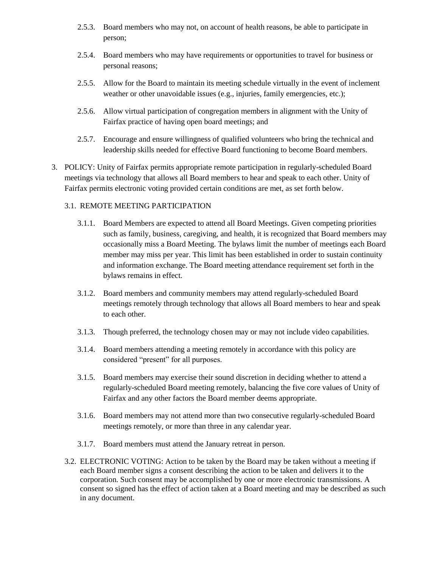- 2.5.3. Board members who may not, on account of health reasons, be able to participate in person;
- 2.5.4. Board members who may have requirements or opportunities to travel for business or personal reasons;
- 2.5.5. Allow for the Board to maintain its meeting schedule virtually in the event of inclement weather or other unavoidable issues (e.g., injuries, family emergencies, etc.);
- 2.5.6. Allow virtual participation of congregation members in alignment with the Unity of Fairfax practice of having open board meetings; and
- 2.5.7. Encourage and ensure willingness of qualified volunteers who bring the technical and leadership skills needed for effective Board functioning to become Board members.
- 3. POLICY: Unity of Fairfax permits appropriate remote participation in regularly-scheduled Board meetings via technology that allows all Board members to hear and speak to each other. Unity of Fairfax permits electronic voting provided certain conditions are met, as set forth below.

### 3.1. REMOTE MEETING PARTICIPATION

- 3.1.1. Board Members are expected to attend all Board Meetings. Given competing priorities such as family, business, caregiving, and health, it is recognized that Board members may occasionally miss a Board Meeting. The bylaws limit the number of meetings each Board member may miss per year. This limit has been established in order to sustain continuity and information exchange. The Board meeting attendance requirement set forth in the bylaws remains in effect.
- 3.1.2. Board members and community members may attend regularly-scheduled Board meetings remotely through technology that allows all Board members to hear and speak to each other.
- 3.1.3. Though preferred, the technology chosen may or may not include video capabilities.
- 3.1.4. Board members attending a meeting remotely in accordance with this policy are considered "present" for all purposes.
- 3.1.5. Board members may exercise their sound discretion in deciding whether to attend a regularly-scheduled Board meeting remotely, balancing the five core values of Unity of Fairfax and any other factors the Board member deems appropriate.
- 3.1.6. Board members may not attend more than two consecutive regularly-scheduled Board meetings remotely, or more than three in any calendar year.
- 3.1.7. Board members must attend the January retreat in person.
- 3.2. ELECTRONIC VOTING: Action to be taken by the Board may be taken without a meeting if each Board member signs a consent describing the action to be taken and delivers it to the corporation. Such consent may be accomplished by one or more electronic transmissions. A consent so signed has the effect of action taken at a Board meeting and may be described as such in any document.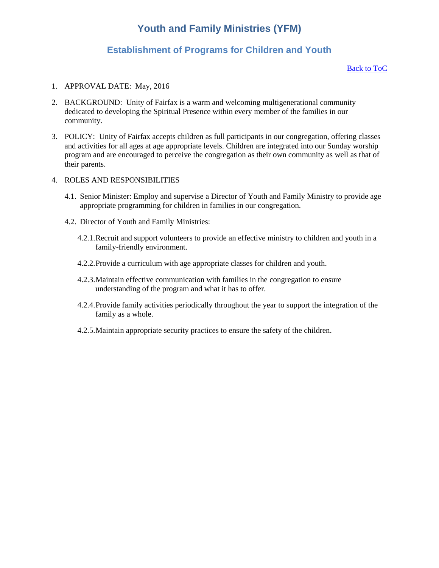# **Youth and Family Ministries (YFM)**

### **Establishment of Programs for Children and Youth**

#### [Back to ToC](#page-0-0)

- <span id="page-36-1"></span><span id="page-36-0"></span>1. APPROVAL DATE: May, 2016
- 2. BACKGROUND: Unity of Fairfax is a warm and welcoming multigenerational community dedicated to developing the Spiritual Presence within every member of the families in our community.
- 3. POLICY: Unity of Fairfax accepts children as full participants in our congregation, offering classes and activities for all ages at age appropriate levels. Children are integrated into our Sunday worship program and are encouraged to perceive the congregation as their own community as well as that of their parents.
- 4. ROLES AND RESPONSIBILITIES
	- 4.1. Senior Minister: Employ and supervise a Director of Youth and Family Ministry to provide age appropriate programming for children in families in our congregation.
	- 4.2. Director of Youth and Family Ministries:
		- 4.2.1.Recruit and support volunteers to provide an effective ministry to children and youth in a family-friendly environment.
		- 4.2.2.Provide a curriculum with age appropriate classes for children and youth.
		- 4.2.3.Maintain effective communication with families in the congregation to ensure understanding of the program and what it has to offer.
		- 4.2.4.Provide family activities periodically throughout the year to support the integration of the family as a whole.
		- 4.2.5.Maintain appropriate security practices to ensure the safety of the children.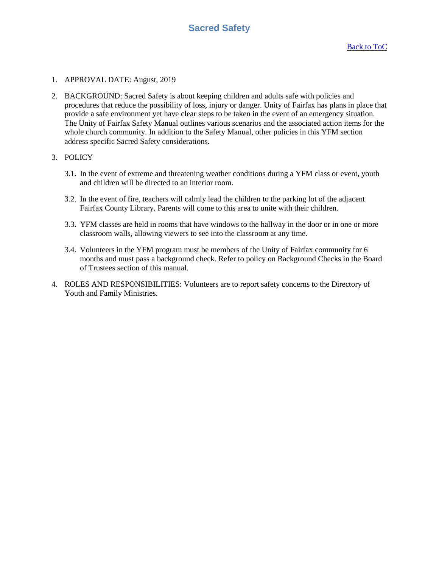- <span id="page-37-0"></span>1. APPROVAL DATE: August, 2019
- 2. BACKGROUND: Sacred Safety is about keeping children and adults safe with policies and procedures that reduce the possibility of loss, injury or danger. Unity of Fairfax has plans in place that provide a safe environment yet have clear steps to be taken in the event of an emergency situation. The Unity of Fairfax Safety Manual outlines various scenarios and the associated action items for the whole church community. In addition to the Safety Manual, other policies in this YFM section address specific Sacred Safety considerations.
- 3. POLICY
	- 3.1. In the event of extreme and threatening weather conditions during a YFM class or event, youth and children will be directed to an interior room.
	- 3.2. In the event of fire, teachers will calmly lead the children to the parking lot of the adjacent Fairfax County Library. Parents will come to this area to unite with their children.
	- 3.3. YFM classes are held in rooms that have windows to the hallway in the door or in one or more classroom walls, allowing viewers to see into the classroom at any time.
	- 3.4. Volunteers in the YFM program must be members of the Unity of Fairfax community for 6 months and must pass a background check. Refer to policy on Background Checks in the Board of Trustees section of this manual.
- 4. ROLES AND RESPONSIBILITIES: Volunteers are to report safety concerns to the Directory of Youth and Family Ministries.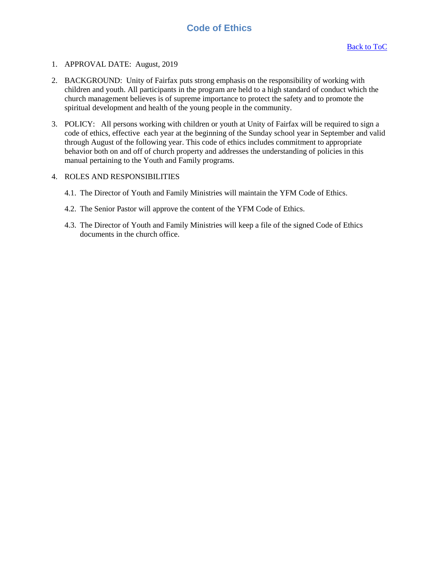# **Code of Ethics**

### <span id="page-38-0"></span>1. APPROVAL DATE: August, 2019

- 2. BACKGROUND: Unity of Fairfax puts strong emphasis on the responsibility of working with children and youth. All participants in the program are held to a high standard of conduct which the church management believes is of supreme importance to protect the safety and to promote the spiritual development and health of the young people in the community.
- 3. POLICY: All persons working with children or youth at Unity of Fairfax will be required to sign a code of ethics, effective each year at the beginning of the Sunday school year in September and valid through August of the following year. This code of ethics includes commitment to appropriate behavior both on and off of church property and addresses the understanding of policies in this manual pertaining to the Youth and Family programs.

- 4.1. The Director of Youth and Family Ministries will maintain the YFM Code of Ethics.
- 4.2. The Senior Pastor will approve the content of the YFM Code of Ethics.
- 4.3. The Director of Youth and Family Ministries will keep a file of the signed Code of Ethics documents in the church office.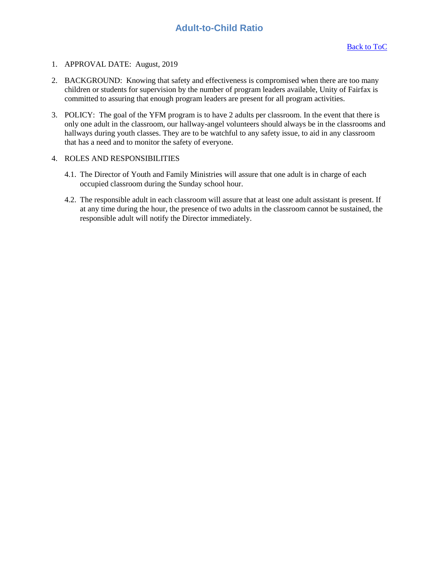# **Adult-to-Child Ratio**

- <span id="page-39-0"></span>1. APPROVAL DATE: August, 2019
- 2. BACKGROUND: Knowing that safety and effectiveness is compromised when there are too many children or students for supervision by the number of program leaders available, Unity of Fairfax is committed to assuring that enough program leaders are present for all program activities.
- 3. POLICY: The goal of the YFM program is to have 2 adults per classroom. In the event that there is only one adult in the classroom, our hallway-angel volunteers should always be in the classrooms and hallways during youth classes. They are to be watchful to any safety issue, to aid in any classroom that has a need and to monitor the safety of everyone.
- 4. ROLES AND RESPONSIBILITIES
	- 4.1. The Director of Youth and Family Ministries will assure that one adult is in charge of each occupied classroom during the Sunday school hour.
	- 4.2. The responsible adult in each classroom will assure that at least one adult assistant is present. If at any time during the hour, the presence of two adults in the classroom cannot be sustained, the responsible adult will notify the Director immediately.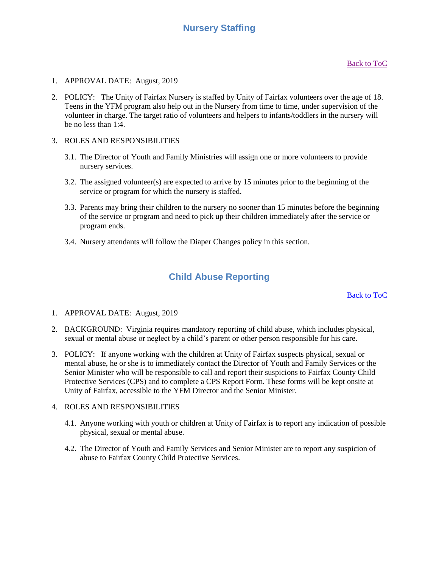# **Nursery Staffing**

- <span id="page-40-0"></span>1. APPROVAL DATE: August, 2019
- 2. POLICY: The Unity of Fairfax Nursery is staffed by Unity of Fairfax volunteers over the age of 18. Teens in the YFM program also help out in the Nursery from time to time, under supervision of the volunteer in charge. The target ratio of volunteers and helpers to infants/toddlers in the nursery will be no less than 1:4.
- 3. ROLES AND RESPONSIBILITIES
	- 3.1. The Director of Youth and Family Ministries will assign one or more volunteers to provide nursery services.
	- 3.2. The assigned volunteer(s) are expected to arrive by 15 minutes prior to the beginning of the service or program for which the nursery is staffed.
	- 3.3. Parents may bring their children to the nursery no sooner than 15 minutes before the beginning of the service or program and need to pick up their children immediately after the service or program ends.
	- 3.4. Nursery attendants will follow the Diaper Changes policy in this section.

### **Child Abuse Reporting**

[Back to ToC](#page-0-0)

- <span id="page-40-1"></span>1. APPROVAL DATE: August, 2019
- 2. BACKGROUND: Virginia requires mandatory reporting of child abuse, which includes physical, sexual or mental abuse or neglect by a child's parent or other person responsible for his care.
- 3. POLICY: If anyone working with the children at Unity of Fairfax suspects physical, sexual or mental abuse, he or she is to immediately contact the Director of Youth and Family Services or the Senior Minister who will be responsible to call and report their suspicions to Fairfax County Child Protective Services (CPS) and to complete a CPS Report Form. These forms will be kept onsite at Unity of Fairfax, accessible to the YFM Director and the Senior Minister.

- 4.1. Anyone working with youth or children at Unity of Fairfax is to report any indication of possible physical, sexual or mental abuse.
- 4.2. The Director of Youth and Family Services and Senior Minister are to report any suspicion of abuse to Fairfax County Child Protective Services.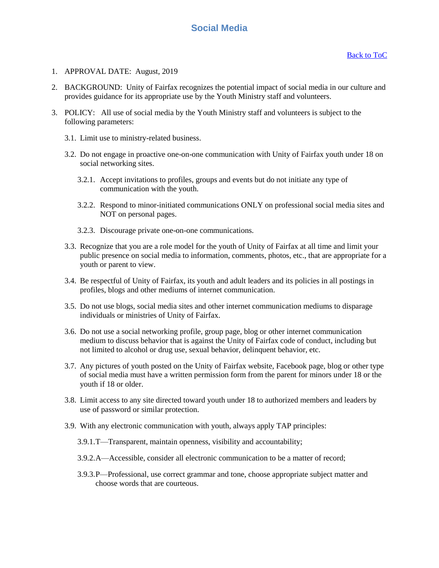# **Social Media**

- <span id="page-41-0"></span>1. APPROVAL DATE: August, 2019
- 2. BACKGROUND: Unity of Fairfax recognizes the potential impact of social media in our culture and provides guidance for its appropriate use by the Youth Ministry staff and volunteers.
- 3. POLICY: All use of social media by the Youth Ministry staff and volunteers is subject to the following parameters:
	- 3.1. Limit use to ministry-related business.
	- 3.2. Do not engage in proactive one-on-one communication with Unity of Fairfax youth under 18 on social networking sites.
		- 3.2.1. Accept invitations to profiles, groups and events but do not initiate any type of communication with the youth.
		- 3.2.2. Respond to minor-initiated communications ONLY on professional social media sites and NOT on personal pages.
		- 3.2.3. Discourage private one-on-one communications.
	- 3.3. Recognize that you are a role model for the youth of Unity of Fairfax at all time and limit your public presence on social media to information, comments, photos, etc., that are appropriate for a youth or parent to view.
	- 3.4. Be respectful of Unity of Fairfax, its youth and adult leaders and its policies in all postings in profiles, blogs and other mediums of internet communication.
	- 3.5. Do not use blogs, social media sites and other internet communication mediums to disparage individuals or ministries of Unity of Fairfax.
	- 3.6. Do not use a social networking profile, group page, blog or other internet communication medium to discuss behavior that is against the Unity of Fairfax code of conduct, including but not limited to alcohol or drug use, sexual behavior, delinquent behavior, etc.
	- 3.7. Any pictures of youth posted on the Unity of Fairfax website, Facebook page, blog or other type of social media must have a written permission form from the parent for minors under 18 or the youth if 18 or older.
	- 3.8. Limit access to any site directed toward youth under 18 to authorized members and leaders by use of password or similar protection.
	- 3.9. With any electronic communication with youth, always apply TAP principles:
		- 3.9.1.T—Transparent, maintain openness, visibility and accountability;
		- 3.9.2.A—Accessible, consider all electronic communication to be a matter of record;
		- 3.9.3.P—Professional, use correct grammar and tone, choose appropriate subject matter and choose words that are courteous.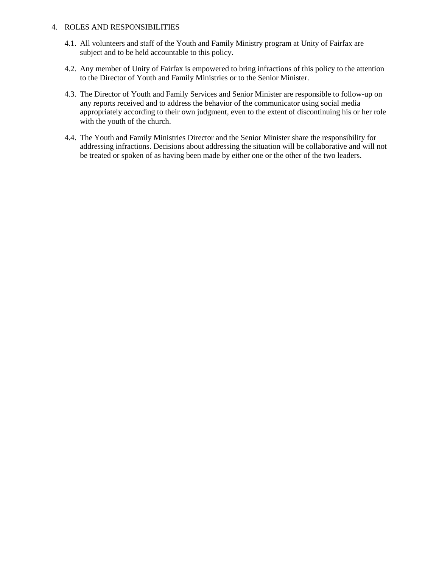- 4.1. All volunteers and staff of the Youth and Family Ministry program at Unity of Fairfax are subject and to be held accountable to this policy.
- 4.2. Any member of Unity of Fairfax is empowered to bring infractions of this policy to the attention to the Director of Youth and Family Ministries or to the Senior Minister.
- 4.3. The Director of Youth and Family Services and Senior Minister are responsible to follow-up on any reports received and to address the behavior of the communicator using social media appropriately according to their own judgment, even to the extent of discontinuing his or her role with the youth of the church.
- 4.4. The Youth and Family Ministries Director and the Senior Minister share the responsibility for addressing infractions. Decisions about addressing the situation will be collaborative and will not be treated or spoken of as having been made by either one or the other of the two leaders.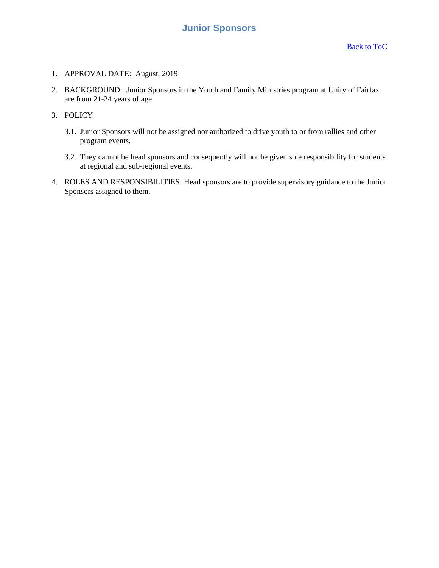- <span id="page-43-0"></span>1. APPROVAL DATE: August, 2019
- 2. BACKGROUND: Junior Sponsors in the Youth and Family Ministries program at Unity of Fairfax are from 21-24 years of age.
- 3. POLICY
	- 3.1. Junior Sponsors will not be assigned nor authorized to drive youth to or from rallies and other program events.
	- 3.2. They cannot be head sponsors and consequently will not be given sole responsibility for students at regional and sub-regional events.
- 4. ROLES AND RESPONSIBILITIES: Head sponsors are to provide supervisory guidance to the Junior Sponsors assigned to them.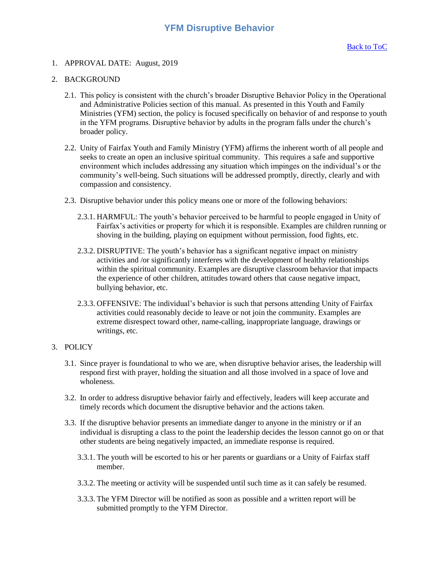<span id="page-44-0"></span>1. APPROVAL DATE: August, 2019

### 2. BACKGROUND

- 2.1. This policy is consistent with the church's broader Disruptive Behavior Policy in the Operational and Administrative Policies section of this manual. As presented in this Youth and Family Ministries (YFM) section, the policy is focused specifically on behavior of and response to youth in the YFM programs. Disruptive behavior by adults in the program falls under the church's broader policy.
- 2.2. Unity of Fairfax Youth and Family Ministry (YFM) affirms the inherent worth of all people and seeks to create an open an inclusive spiritual community. This requires a safe and supportive environment which includes addressing any situation which impinges on the individual's or the community's well-being. Such situations will be addressed promptly, directly, clearly and with compassion and consistency.
- 2.3. Disruptive behavior under this policy means one or more of the following behaviors:
	- 2.3.1. HARMFUL: The youth's behavior perceived to be harmful to people engaged in Unity of Fairfax's activities or property for which it is responsible. Examples are children running or shoving in the building, playing on equipment without permission, food fights, etc.
	- 2.3.2. DISRUPTIVE: The youth's behavior has a significant negative impact on ministry activities and /or significantly interferes with the development of healthy relationships within the spiritual community. Examples are disruptive classroom behavior that impacts the experience of other children, attitudes toward others that cause negative impact, bullying behavior, etc.
	- 2.3.3. OFFENSIVE: The individual's behavior is such that persons attending Unity of Fairfax activities could reasonably decide to leave or not join the community. Examples are extreme disrespect toward other, name-calling, inappropriate language, drawings or writings, etc.

### 3. POLICY

- 3.1. Since prayer is foundational to who we are, when disruptive behavior arises, the leadership will respond first with prayer, holding the situation and all those involved in a space of love and wholeness.
- 3.2. In order to address disruptive behavior fairly and effectively, leaders will keep accurate and timely records which document the disruptive behavior and the actions taken.
- 3.3. If the disruptive behavior presents an immediate danger to anyone in the ministry or if an individual is disrupting a class to the point the leadership decides the lesson cannot go on or that other students are being negatively impacted, an immediate response is required.
	- 3.3.1. The youth will be escorted to his or her parents or guardians or a Unity of Fairfax staff member.
	- 3.3.2. The meeting or activity will be suspended until such time as it can safely be resumed.
	- 3.3.3. The YFM Director will be notified as soon as possible and a written report will be submitted promptly to the YFM Director.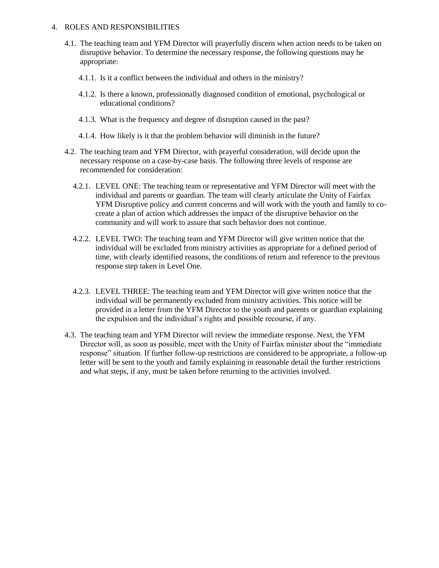- 4.1. The teaching team and YFM Director will prayerfully discern when action needs to be taken on disruptive behavior. To determine the necessary response, the following questions may be appropriate:
	- 4.1.1. Is it a conflict between the individual and others in the ministry?
	- 4.1.2. Is there a known, professionally diagnosed condition of emotional, psychological or educational conditions?
	- 4.1.3. What is the frequency and degree of disruption caused in the past?
	- 4.1.4. How likely is it that the problem behavior will diminish in the future?
- 4.2. The teaching team and YFM Director, with prayerful consideration, will decide upon the necessary response on a case-by-case basis. The following three levels of response are recommended for consideration:
	- 4.2.1. LEVEL ONE: The teaching team or representative and YFM Director will meet with the individual and parents or guardian. The team will clearly articulate the Unity of Fairfax YFM Disruptive policy and current concerns and will work with the youth and family to cocreate a plan of action which addresses the impact of the disruptive behavior on the community and will work to assure that such behavior does not continue.
	- 4.2.2. LEVEL TWO: The teaching team and YFM Director will give written notice that the individual will be excluded from ministry activities as appropriate for a defined period of time, with clearly identified reasons, the conditions of return and reference to the previous response step taken in Level One.
	- 4.2.3. LEVEL THREE: The teaching team and YFM Director will give written notice that the individual will be permanently excluded from ministry activities. This notice will be provided in a letter from the YFM Director to the youth and parents or guardian explaining the expulsion and the individual's rights and possible recourse, if any.
- 4.3. The teaching team and YFM Director will review the immediate response. Next, the YFM Director will, as soon as possible, meet with the Unity of Fairfax minister about the "immediate response" situation. If further follow-up restrictions are considered to be appropriate, a follow-up letter will be sent to the youth and family explaining in reasonable detail the further restrictions and what steps, if any, must be taken before returning to the activities involved.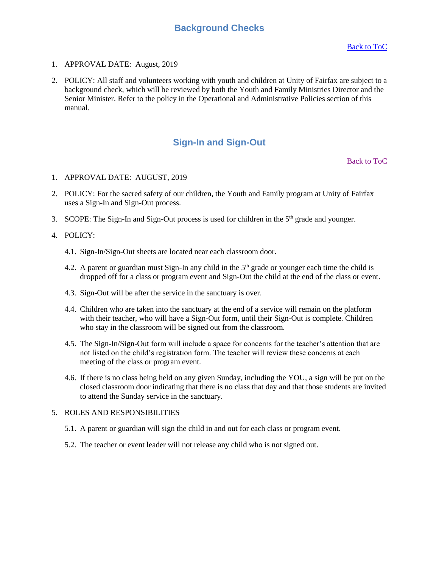### **Background Checks**

- <span id="page-46-0"></span>1. APPROVAL DATE: August, 2019
- 2. POLICY: All staff and volunteers working with youth and children at Unity of Fairfax are subject to a background check, which will be reviewed by both the Youth and Family Ministries Director and the Senior Minister. Refer to the policy in the Operational and Administrative Policies section of this manual.

### **Sign-In and Sign-Out**

[Back to ToC](#page-0-0)

- <span id="page-46-1"></span>1. APPROVAL DATE: AUGUST, 2019
- 2. POLICY: For the sacred safety of our children, the Youth and Family program at Unity of Fairfax uses a Sign-In and Sign-Out process.
- 3. SCOPE: The Sign-In and Sign-Out process is used for children in the  $5<sup>th</sup>$  grade and younger.
- 4. POLICY:
	- 4.1. Sign-In/Sign-Out sheets are located near each classroom door.
	- 4.2. A parent or guardian must Sign-In any child in the  $5<sup>th</sup>$  grade or younger each time the child is dropped off for a class or program event and Sign-Out the child at the end of the class or event.
	- 4.3. Sign-Out will be after the service in the sanctuary is over.
	- 4.4. Children who are taken into the sanctuary at the end of a service will remain on the platform with their teacher, who will have a Sign-Out form, until their Sign-Out is complete. Children who stay in the classroom will be signed out from the classroom.
	- 4.5. The Sign-In/Sign-Out form will include a space for concerns for the teacher's attention that are not listed on the child's registration form. The teacher will review these concerns at each meeting of the class or program event.
	- 4.6. If there is no class being held on any given Sunday, including the YOU, a sign will be put on the closed classroom door indicating that there is no class that day and that those students are invited to attend the Sunday service in the sanctuary.

- 5.1. A parent or guardian will sign the child in and out for each class or program event.
- 5.2. The teacher or event leader will not release any child who is not signed out.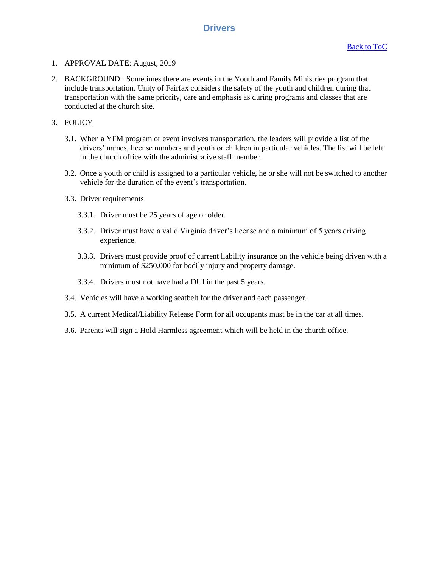### **Drivers**

- <span id="page-47-0"></span>1. APPROVAL DATE: August, 2019
- 2. BACKGROUND: Sometimes there are events in the Youth and Family Ministries program that include transportation. Unity of Fairfax considers the safety of the youth and children during that transportation with the same priority, care and emphasis as during programs and classes that are conducted at the church site.
- 3. POLICY
	- 3.1. When a YFM program or event involves transportation, the leaders will provide a list of the drivers' names, license numbers and youth or children in particular vehicles. The list will be left in the church office with the administrative staff member.
	- 3.2. Once a youth or child is assigned to a particular vehicle, he or she will not be switched to another vehicle for the duration of the event's transportation.
	- 3.3. Driver requirements
		- 3.3.1. Driver must be 25 years of age or older.
		- 3.3.2. Driver must have a valid Virginia driver's license and a minimum of 5 years driving experience.
		- 3.3.3. Drivers must provide proof of current liability insurance on the vehicle being driven with a minimum of \$250,000 for bodily injury and property damage.
		- 3.3.4. Drivers must not have had a DUI in the past 5 years.
	- 3.4. Vehicles will have a working seatbelt for the driver and each passenger.
	- 3.5. A current Medical/Liability Release Form for all occupants must be in the car at all times.
	- 3.6. Parents will sign a Hold Harmless agreement which will be held in the church office.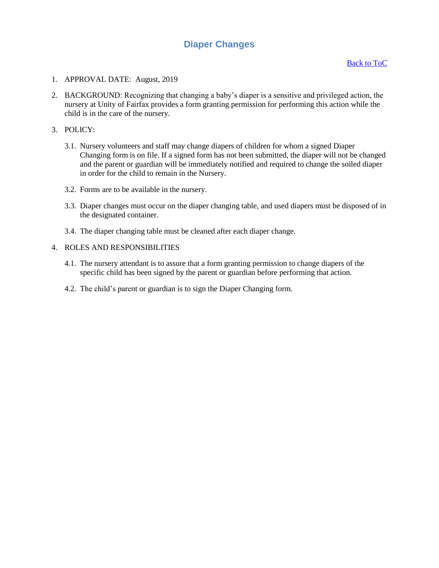# **Diaper Changes**

- <span id="page-48-0"></span>1. APPROVAL DATE: August, 2019
- 2. BACKGROUND: Recognizing that changing a baby's diaper is a sensitive and privileged action, the nursery at Unity of Fairfax provides a form granting permission for performing this action while the child is in the care of the nursery.
- 3. POLICY:
	- 3.1. Nursery volunteers and staff may change diapers of children for whom a signed Diaper Changing form is on file. If a signed form has not been submitted, the diaper will not be changed and the parent or guardian will be immediately notified and required to change the soiled diaper in order for the child to remain in the Nursery.
	- 3.2. Forms are to be available in the nursery.
	- 3.3. Diaper changes must occur on the diaper changing table, and used diapers must be disposed of in the designated container.
	- 3.4. The diaper changing table must be cleaned after each diaper change.

- 4.1. The nursery attendant is to assure that a form granting permission to change diapers of the specific child has been signed by the parent or guardian before performing that action.
- 4.2. The child's parent or guardian is to sign the Diaper Changing form.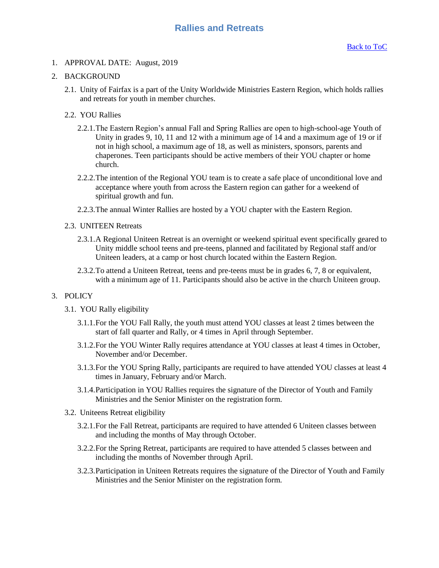### <span id="page-49-0"></span>1. APPROVAL DATE: August, 2019

### 2. BACKGROUND

2.1. Unity of Fairfax is a part of the Unity Worldwide Ministries Eastern Region, which holds rallies and retreats for youth in member churches.

#### 2.2. YOU Rallies

- 2.2.1.The Eastern Region's annual Fall and Spring Rallies are open to high-school-age Youth of Unity in grades 9, 10, 11 and 12 with a minimum age of 14 and a maximum age of 19 or if not in high school, a maximum age of 18, as well as ministers, sponsors, parents and chaperones. Teen participants should be active members of their YOU chapter or home church.
- 2.2.2.The intention of the Regional YOU team is to create a safe place of unconditional love and acceptance where youth from across the Eastern region can gather for a weekend of spiritual growth and fun.
- 2.2.3.The annual Winter Rallies are hosted by a YOU chapter with the Eastern Region.

#### 2.3. UNITEEN Retreats

- 2.3.1.A Regional Uniteen Retreat is an overnight or weekend spiritual event specifically geared to Unity middle school teens and pre-teens, planned and facilitated by Regional staff and/or Uniteen leaders, at a camp or host church located within the Eastern Region.
- 2.3.2.To attend a Uniteen Retreat, teens and pre-teens must be in grades 6, 7, 8 or equivalent, with a minimum age of 11. Participants should also be active in the church Uniteen group.

### 3. POLICY

- 3.1. YOU Rally eligibility
	- 3.1.1.For the YOU Fall Rally, the youth must attend YOU classes at least 2 times between the start of fall quarter and Rally, or 4 times in April through September.
	- 3.1.2.For the YOU Winter Rally requires attendance at YOU classes at least 4 times in October, November and/or December.
	- 3.1.3.For the YOU Spring Rally, participants are required to have attended YOU classes at least 4 times in January, February and/or March.
	- 3.1.4.Participation in YOU Rallies requires the signature of the Director of Youth and Family Ministries and the Senior Minister on the registration form.
- 3.2. Uniteens Retreat eligibility
	- 3.2.1.For the Fall Retreat, participants are required to have attended 6 Uniteen classes between and including the months of May through October.
	- 3.2.2.For the Spring Retreat, participants are required to have attended 5 classes between and including the months of November through April.
	- 3.2.3.Participation in Uniteen Retreats requires the signature of the Director of Youth and Family Ministries and the Senior Minister on the registration form.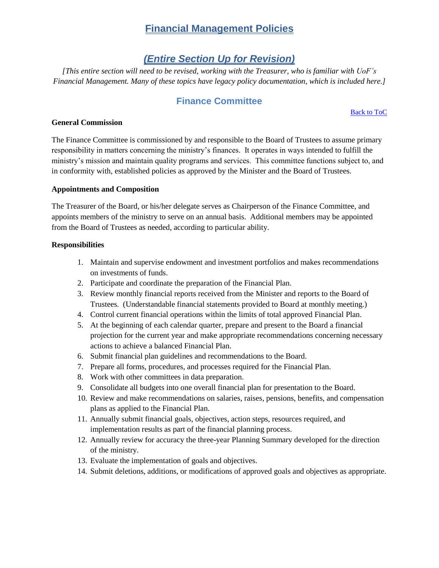# **Financial Management Policies**

# *(Entire Section Up for Revision)*

<span id="page-50-1"></span><span id="page-50-0"></span>*[This entire section will need to be revised, working with the Treasurer, who is familiar with UoF's Financial Management. Many of these topics have legacy policy documentation, which is included here.]*

## **Finance Committee**

[Back to ToC](#page-0-0)

### <span id="page-50-2"></span>**General Commission**

The Finance Committee is commissioned by and responsible to the Board of Trustees to assume primary responsibility in matters concerning the ministry's finances. It operates in ways intended to fulfill the ministry's mission and maintain quality programs and services. This committee functions subject to, and in conformity with, established policies as approved by the Minister and the Board of Trustees.

### **Appointments and Composition**

The Treasurer of the Board, or his/her delegate serves as Chairperson of the Finance Committee, and appoints members of the ministry to serve on an annual basis. Additional members may be appointed from the Board of Trustees as needed, according to particular ability.

### **Responsibilities**

- 1. Maintain and supervise endowment and investment portfolios and makes recommendations on investments of funds.
- 2. Participate and coordinate the preparation of the Financial Plan.
- 3. Review monthly financial reports received from the Minister and reports to the Board of Trustees. (Understandable financial statements provided to Board at monthly meeting.)
- 4. Control current financial operations within the limits of total approved Financial Plan.
- 5. At the beginning of each calendar quarter, prepare and present to the Board a financial projection for the current year and make appropriate recommendations concerning necessary actions to achieve a balanced Financial Plan.
- 6. Submit financial plan guidelines and recommendations to the Board.
- 7. Prepare all forms, procedures, and processes required for the Financial Plan.
- 8. Work with other committees in data preparation.
- 9. Consolidate all budgets into one overall financial plan for presentation to the Board.
- 10. Review and make recommendations on salaries, raises, pensions, benefits, and compensation plans as applied to the Financial Plan.
- 11. Annually submit financial goals, objectives, action steps, resources required, and implementation results as part of the financial planning process.
- 12. Annually review for accuracy the three-year Planning Summary developed for the direction of the ministry.
- 13. Evaluate the implementation of goals and objectives.
- 14. Submit deletions, additions, or modifications of approved goals and objectives as appropriate.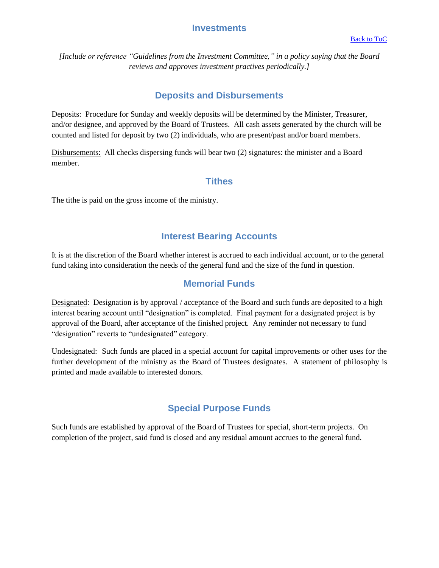### **Investments**

<span id="page-51-0"></span>*[Include or reference "Guidelines from the Investment Committee," in a policy saying that the Board reviews and approves investment practives periodically.]*

# **Deposits and Disbursements**

<span id="page-51-1"></span>Deposits:Procedure for Sunday and weekly deposits will be determined by the Minister, Treasurer, and/or designee, and approved by the Board of Trustees. All cash assets generated by the church will be counted and listed for deposit by two (2) individuals, who are present/past and/or board members.

Disbursements:All checks dispersing funds will bear two (2) signatures: the minister and a Board member.

### **Tithes**

<span id="page-51-2"></span>The tithe is paid on the gross income of the ministry.

## **Interest Bearing Accounts**

<span id="page-51-3"></span>It is at the discretion of the Board whether interest is accrued to each individual account, or to the general fund taking into consideration the needs of the general fund and the size of the fund in question.

### **Memorial Funds**

<span id="page-51-4"></span>Designated:Designation is by approval / acceptance of the Board and such funds are deposited to a high interest bearing account until "designation" is completed. Final payment for a designated project is by approval of the Board, after acceptance of the finished project. Any reminder not necessary to fund "designation" reverts to "undesignated" category.

Undesignated:Such funds are placed in a special account for capital improvements or other uses for the further development of the ministry as the Board of Trustees designates. A statement of philosophy is printed and made available to interested donors.

# **Special Purpose Funds**

<span id="page-51-5"></span>Such funds are established by approval of the Board of Trustees for special, short-term projects. On completion of the project, said fund is closed and any residual amount accrues to the general fund.